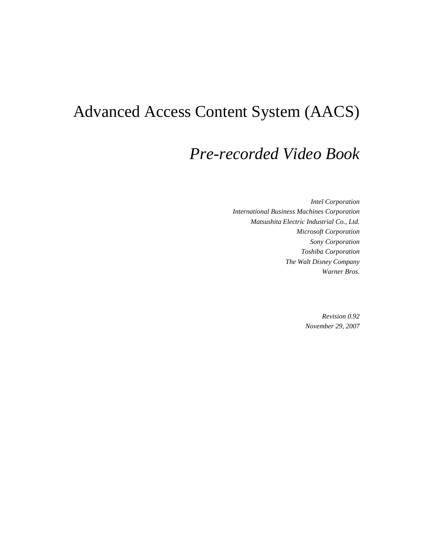# Advanced Access Content System (AACS)

# *Pre-recorded Video Book*

*Intel Corporation International Business Machines Corporation Matsushita Electric Industrial Co., Ltd. Microsoft Corporation Sony Corporation Toshiba Corporation The Walt Disney Company Warner Bros.* 

> *Revision 0.92 November 29, 2007*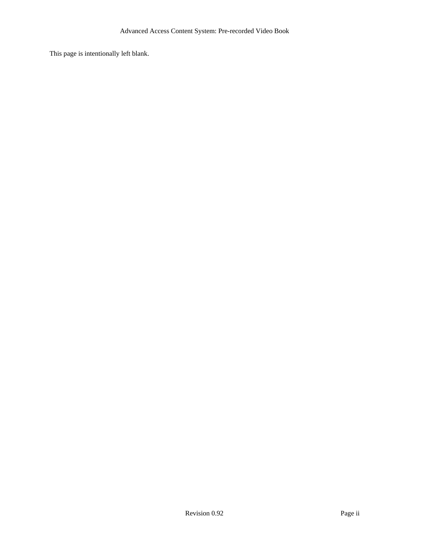This page is intentionally left blank.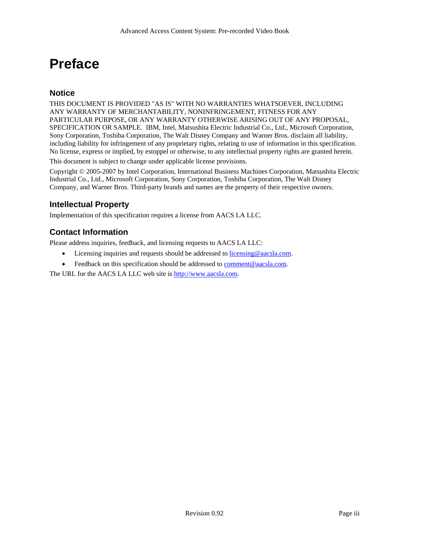# **Preface**

#### **Notice**

THIS DOCUMENT IS PROVIDED "AS IS" WITH NO WARRANTIES WHATSOEVER, INCLUDING ANY WARRANTY OF MERCHANTABILITY, NONINFRINGEMENT, FITNESS FOR ANY PARTICULAR PURPOSE, OR ANY WARRANTY OTHERWISE ARISING OUT OF ANY PROPOSAL, SPECIFICATION OR SAMPLE. IBM, Intel, Matsushita Electric Industrial Co., Ltd., Microsoft Corporation, Sony Corporation, Toshiba Corporation, The Walt Disney Company and Warner Bros. disclaim all liability, including liability for infringement of any proprietary rights, relating to use of information in this specification. No license, express or implied, by estoppel or otherwise, to any intellectual property rights are granted herein.

This document is subject to change under applicable license provisions.

Copyright © 2005-2007 by Intel Corporation, International Business Machines Corporation, Matsushita Electric Industrial Co., Ltd., Microsoft Corporation, Sony Corporation, Toshiba Corporation, The Walt Disney Company, and Warner Bros. Third-party brands and names are the property of their respective owners.

#### **Intellectual Property**

Implementation of this specification requires a license from AACS LA LLC.

### **Contact Information**

Please address inquiries, feedback, and licensing requests to AACS LA LLC:

- Licensing inquiries and requests should be addressed to  $\frac{1}{\text{icensing}@aacsla.com}$ .
- Feedback on this specification should be addressed to comment@aacsla.com.

The URL for the AACS LA LLC web site is http://www.aacsla.com.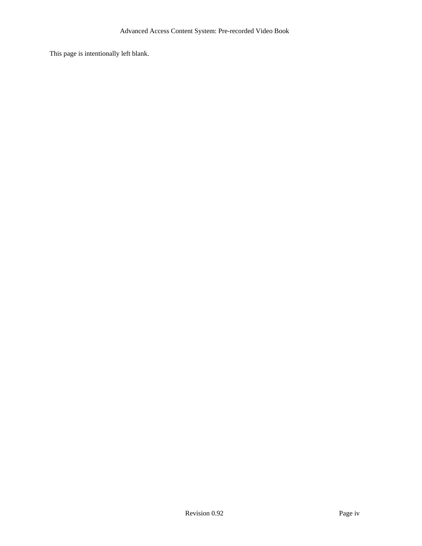This page is intentionally left blank.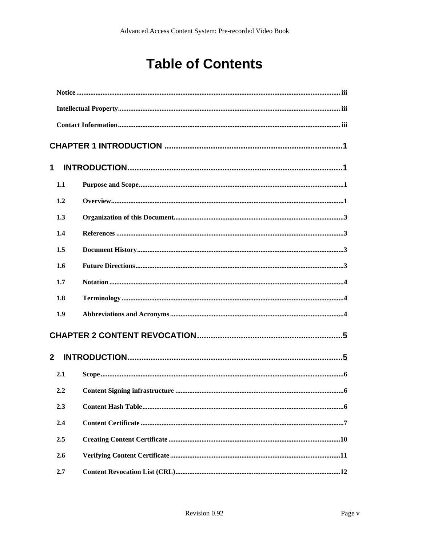# **Table of Contents**

| 1              |     |  |
|----------------|-----|--|
|                | 1.1 |  |
|                | 1.2 |  |
|                | 1.3 |  |
|                | 1.4 |  |
|                | 1.5 |  |
|                | 1.6 |  |
|                | 1.7 |  |
|                | 1.8 |  |
|                | 1.9 |  |
|                |     |  |
| $\overline{2}$ |     |  |
|                | 2.1 |  |
|                | 2.2 |  |
|                | 2.3 |  |
|                | 2.4 |  |
|                | 2.5 |  |
|                | 2.6 |  |
|                | 2.7 |  |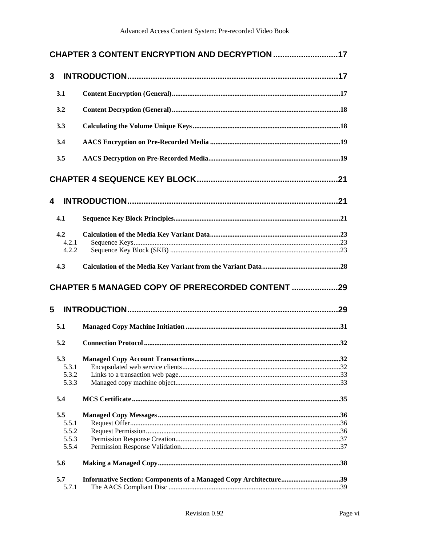| 3              |                                                                  |     |  |  |  |  |  |
|----------------|------------------------------------------------------------------|-----|--|--|--|--|--|
| 3.1            |                                                                  |     |  |  |  |  |  |
| 3.2            |                                                                  |     |  |  |  |  |  |
| 3.3            |                                                                  |     |  |  |  |  |  |
| 3.4            |                                                                  |     |  |  |  |  |  |
| 3.5            |                                                                  |     |  |  |  |  |  |
|                |                                                                  |     |  |  |  |  |  |
| 4              |                                                                  |     |  |  |  |  |  |
| 4.1            |                                                                  |     |  |  |  |  |  |
| 4.2<br>4.2.1   |                                                                  |     |  |  |  |  |  |
| 4.2.2          |                                                                  |     |  |  |  |  |  |
| 4.3            |                                                                  |     |  |  |  |  |  |
|                |                                                                  |     |  |  |  |  |  |
|                | <b>CHAPTER 5 MANAGED COPY OF PRERECORDED CONTENT 29</b>          |     |  |  |  |  |  |
| 5              |                                                                  |     |  |  |  |  |  |
| 5.1            |                                                                  |     |  |  |  |  |  |
| 5.2            |                                                                  |     |  |  |  |  |  |
| 5.3            |                                                                  | .32 |  |  |  |  |  |
| 5.3.1          |                                                                  |     |  |  |  |  |  |
| 5.3.2<br>5.3.3 |                                                                  |     |  |  |  |  |  |
| 5.4            |                                                                  |     |  |  |  |  |  |
| 5.5            |                                                                  |     |  |  |  |  |  |
| 5.5.1          |                                                                  |     |  |  |  |  |  |
| 5.5.2          |                                                                  |     |  |  |  |  |  |
| 5.5.3<br>5.5.4 |                                                                  |     |  |  |  |  |  |
| 5.6            |                                                                  |     |  |  |  |  |  |
| 5.7<br>5.7.1   | Informative Section: Components of a Managed Copy Architecture39 |     |  |  |  |  |  |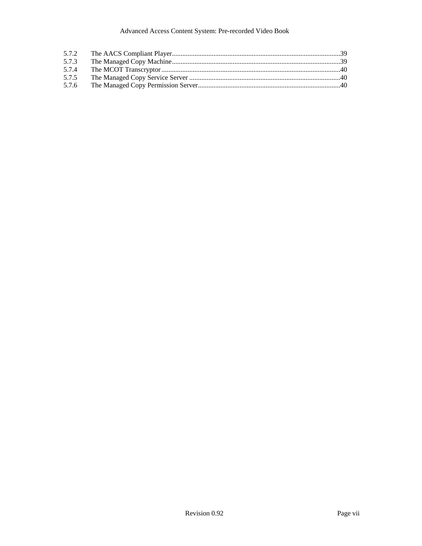#### Advanced Access Content System: Pre-recorded Video Book

| 5.7.3 |  |
|-------|--|
| 5.7.4 |  |
| 5.7.5 |  |
| 5.7.6 |  |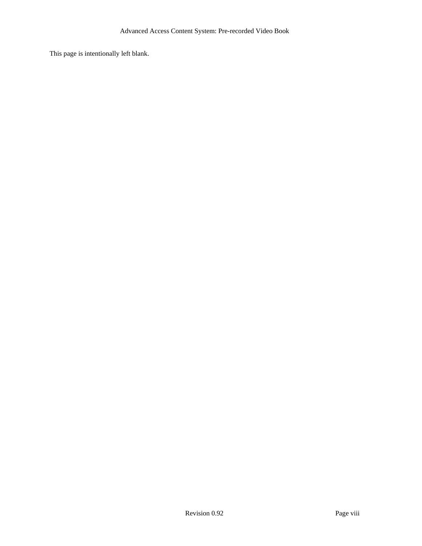This page is intentionally left blank.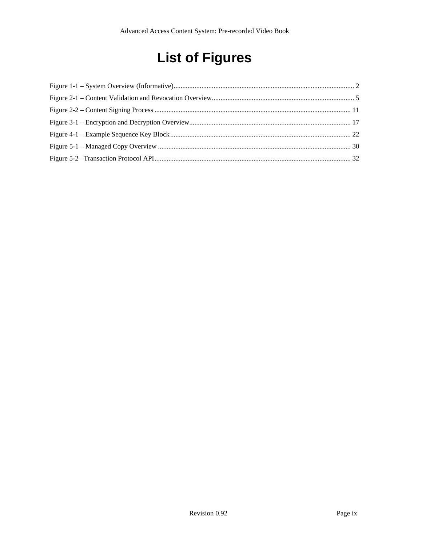# **List of Figures**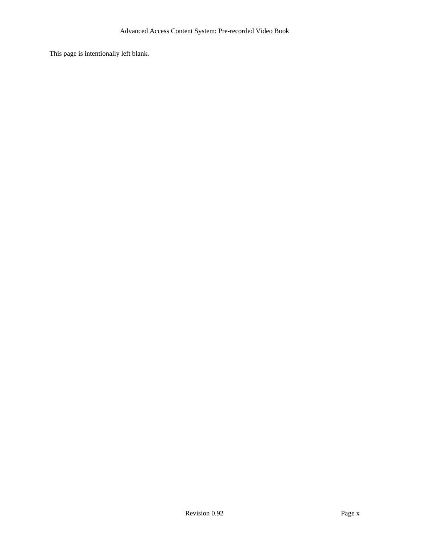This page is intentionally left blank.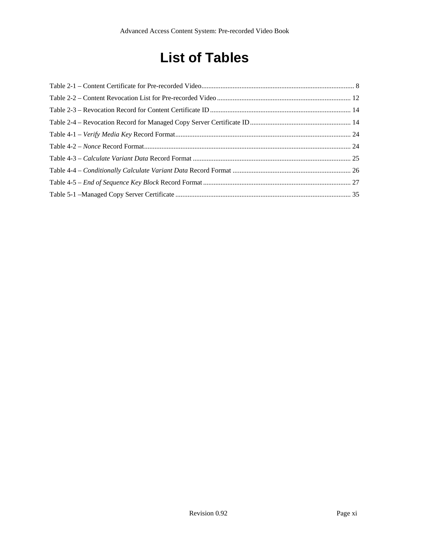# **List of Tables**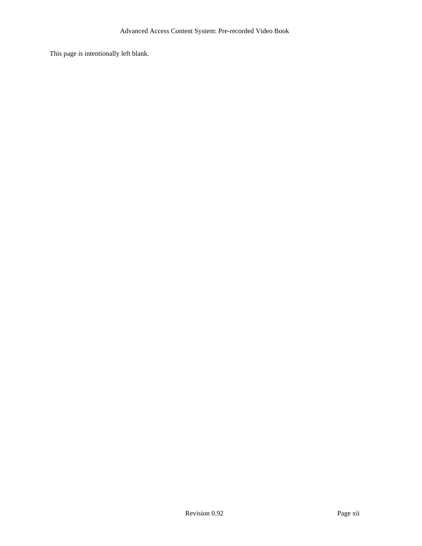This page is intentionally left blank.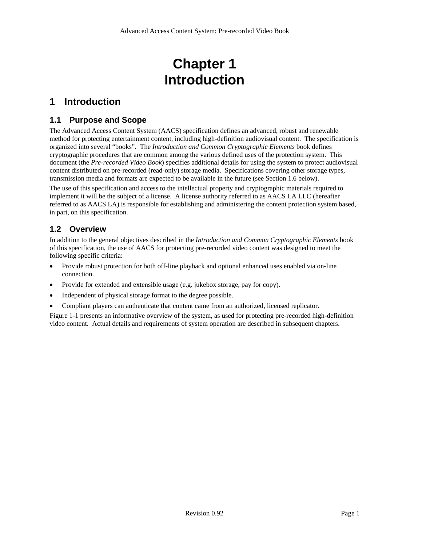# **Chapter 1 Introduction**

## **1 Introduction**

## **1.1 Purpose and Scope**

The Advanced Access Content System (AACS) specification defines an advanced, robust and renewable method for protecting entertainment content, including high-definition audiovisual content. The specification is organized into several "books". The *Introduction and Common Cryptographic Elements* book defines cryptographic procedures that are common among the various defined uses of the protection system. This document (the *Pre-recorded Video Book*) specifies additional details for using the system to protect audiovisual content distributed on pre-recorded (read-only) storage media. Specifications covering other storage types, transmission media and formats are expected to be available in the future (see Section 1.6 below).

The use of this specification and access to the intellectual property and cryptographic materials required to implement it will be the subject of a license. A license authority referred to as AACS LA LLC (hereafter referred to as AACS LA) is responsible for establishing and administering the content protection system based, in part, on this specification.

## **1.2 Overview**

In addition to the general objectives described in the *Introduction and Common Cryptographic Elements* book of this specification, the use of AACS for protecting pre-recorded video content was designed to meet the following specific criteria:

- Provide robust protection for both off-line playback and optional enhanced uses enabled via on-line connection.
- Provide for extended and extensible usage (e.g. jukebox storage, pay for copy).
- Independent of physical storage format to the degree possible.
- Compliant players can authenticate that content came from an authorized, licensed replicator.

Figure 1-1 presents an informative overview of the system, as used for protecting pre-recorded high-definition video content. Actual details and requirements of system operation are described in subsequent chapters.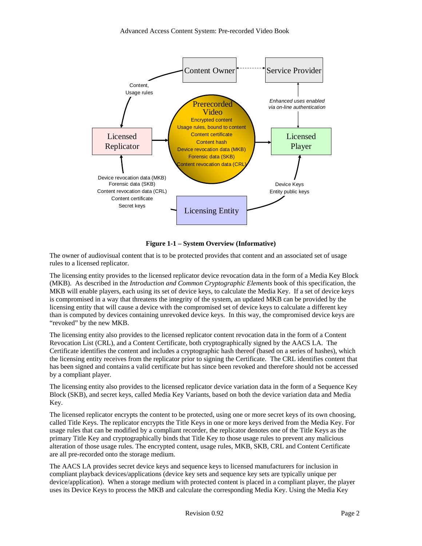

**Figure 1-1 – System Overview (Informative)** 

The owner of audiovisual content that is to be protected provides that content and an associated set of usage rules to a licensed replicator.

The licensing entity provides to the licensed replicator device revocation data in the form of a Media Key Block (MKB). As described in the *Introduction and Common Cryptographic Elements* book of this specification, the MKB will enable players, each using its set of device keys, to calculate the Media Key. If a set of device keys is compromised in a way that threatens the integrity of the system, an updated MKB can be provided by the licensing entity that will cause a device with the compromised set of device keys to calculate a different key than is computed by devices containing unrevoked device keys. In this way, the compromised device keys are "revoked" by the new MKB.

The licensing entity also provides to the licensed replicator content revocation data in the form of a Content Revocation List (CRL), and a Content Certificate, both cryptographically signed by the AACS LA. The Certificate identifies the content and includes a cryptographic hash thereof (based on a series of hashes), which the licensing entity receives from the replicator prior to signing the Certificate. The CRL identifies content that has been signed and contains a valid certificate but has since been revoked and therefore should not be accessed by a compliant player.

The licensing entity also provides to the licensed replicator device variation data in the form of a Sequence Key Block (SKB), and secret keys, called Media Key Variants, based on both the device variation data and Media Key.

The licensed replicator encrypts the content to be protected, using one or more secret keys of its own choosing, called Title Keys. The replicator encrypts the Title Keys in one or more keys derived from the Media Key. For usage rules that can be modified by a compliant recorder, the replicator denotes one of the Title Keys as the primary Title Key and cryptographically binds that Title Key to those usage rules to prevent any malicious alteration of those usage rules. The encrypted content, usage rules, MKB, SKB, CRL and Content Certificate are all pre-recorded onto the storage medium.

The AACS LA provides secret device keys and sequence keys to licensed manufacturers for inclusion in compliant playback devices/applications (device key sets and sequence key sets are typically unique per device/application). When a storage medium with protected content is placed in a compliant player, the player uses its Device Keys to process the MKB and calculate the corresponding Media Key. Using the Media Key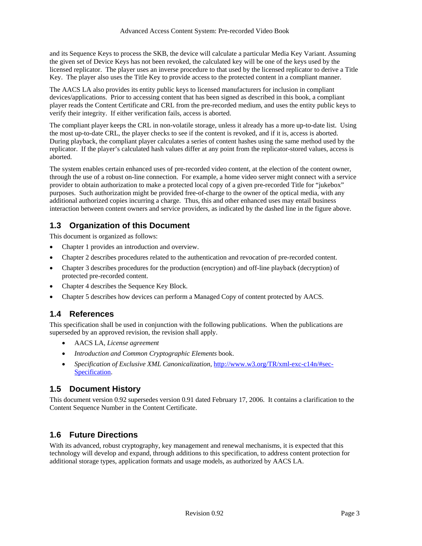and its Sequence Keys to process the SKB, the device will calculate a particular Media Key Variant. Assuming the given set of Device Keys has not been revoked, the calculated key will be one of the keys used by the licensed replicator. The player uses an inverse procedure to that used by the licensed replicator to derive a Title Key. The player also uses the Title Key to provide access to the protected content in a compliant manner.

The AACS LA also provides its entity public keys to licensed manufacturers for inclusion in compliant devices/applications. Prior to accessing content that has been signed as described in this book, a compliant player reads the Content Certificate and CRL from the pre-recorded medium, and uses the entity public keys to verify their integrity. If either verification fails, access is aborted.

The compliant player keeps the CRL in non-volatile storage, unless it already has a more up-to-date list. Using the most up-to-date CRL, the player checks to see if the content is revoked, and if it is, access is aborted. During playback, the compliant player calculates a series of content hashes using the same method used by the replicator. If the player's calculated hash values differ at any point from the replicator-stored values, access is aborted.

The system enables certain enhanced uses of pre-recorded video content, at the election of the content owner, through the use of a robust on-line connection. For example, a home video server might connect with a service provider to obtain authorization to make a protected local copy of a given pre-recorded Title for "jukebox" purposes. Such authorization might be provided free-of-charge to the owner of the optical media, with any additional authorized copies incurring a charge. Thus, this and other enhanced uses may entail business interaction between content owners and service providers, as indicated by the dashed line in the figure above.

## **1.3 Organization of this Document**

This document is organized as follows:

- Chapter 1 provides an introduction and overview.
- Chapter 2 describes procedures related to the authentication and revocation of pre-recorded content.
- Chapter 3 describes procedures for the production (encryption) and off-line playback (decryption) of protected pre-recorded content.
- Chapter 4 describes the Sequence Key Block.
- Chapter 5 describes how devices can perform a Managed Copy of content protected by AACS.

## **1.4 References**

This specification shall be used in conjunction with the following publications. When the publications are superseded by an approved revision, the revision shall apply.

- AACS LA, *License agreement*
- *Introduction and Common Cryptographic Elements* book.
- *Specification of Exclusive XML Canonicalization*, http://www.w3.org/TR/xml-exc-c14n/#sec-Specification.

### **1.5 Document History**

This document version 0.92 supersedes version 0.91 dated February 17, 2006. It contains a clarification to the Content Sequence Number in the Content Certificate.

### **1.6 Future Directions**

With its advanced, robust cryptography, key management and renewal mechanisms, it is expected that this technology will develop and expand, through additions to this specification, to address content protection for additional storage types, application formats and usage models, as authorized by AACS LA.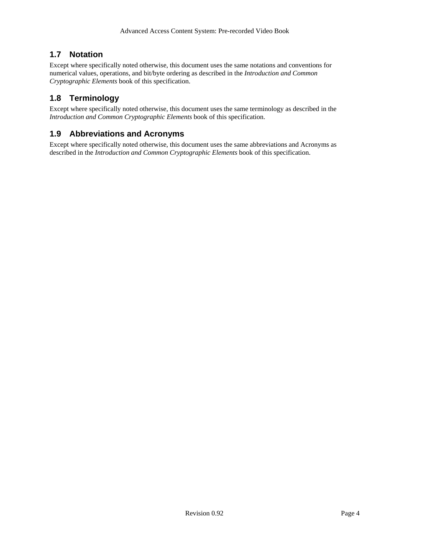#### **1.7 Notation**

Except where specifically noted otherwise, this document uses the same notations and conventions for numerical values, operations, and bit/byte ordering as described in the *Introduction and Common Cryptographic Elements* book of this specification.

## **1.8 Terminology**

Except where specifically noted otherwise, this document uses the same terminology as described in the *Introduction and Common Cryptographic Elements* book of this specification.

#### **1.9 Abbreviations and Acronyms**

Except where specifically noted otherwise, this document uses the same abbreviations and Acronyms as described in the *Introduction and Common Cryptographic Elements* book of this specification.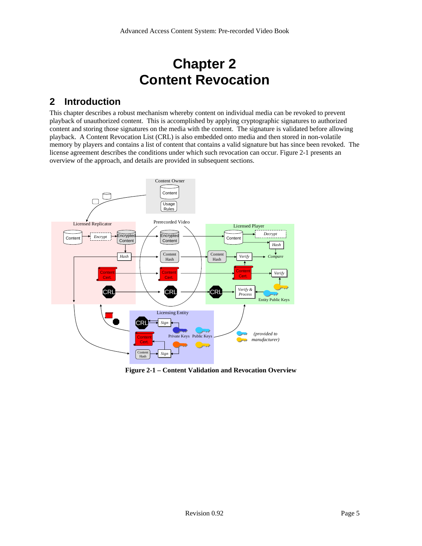# **Chapter 2 Content Revocation**

## **2 Introduction**

This chapter describes a robust mechanism whereby content on individual media can be revoked to prevent playback of unauthorized content. This is accomplished by applying cryptographic signatures to authorized content and storing those signatures on the media with the content. The signature is validated before allowing playback. A Content Revocation List (CRL) is also embedded onto media and then stored in non-volatile memory by players and contains a list of content that contains a valid signature but has since been revoked. The license agreement describes the conditions under which such revocation can occur. Figure 2-1 presents an overview of the approach, and details are provided in subsequent sections.



**Figure 2-1 – Content Validation and Revocation Overview**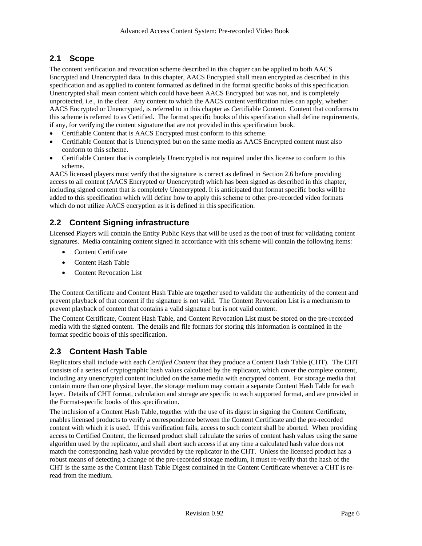## **2.1 Scope**

The content verification and revocation scheme described in this chapter can be applied to both AACS Encrypted and Unencrypted data. In this chapter, AACS Encrypted shall mean encrypted as described in this specification and as applied to content formatted as defined in the format specific books of this specification. Unencrypted shall mean content which could have been AACS Encrypted but was not, and is completely unprotected, i.e., in the clear. Any content to which the AACS content verification rules can apply, whether AACS Encrypted or Unencrypted, is referred to in this chapter as Certifiable Content. Content that conforms to this scheme is referred to as Certified. The format specific books of this specification shall define requirements, if any, for verifying the content signature that are not provided in this specification book.

- Certifiable Content that is AACS Encrypted must conform to this scheme.
- Certifiable Content that is Unencrypted but on the same media as AACS Encrypted content must also conform to this scheme.
- Certifiable Content that is completely Unencrypted is not required under this license to conform to this scheme.

AACS licensed players must verify that the signature is correct as defined in Section 2.6 before providing access to all content (AACS Encrypted or Unencrypted) which has been signed as described in this chapter, including signed content that is completely Unencrypted. It is anticipated that format specific books will be added to this specification which will define how to apply this scheme to other pre-recorded video formats which do not utilize AACS encryption as it is defined in this specification.

## **2.2 Content Signing infrastructure**

Licensed Players will contain the Entity Public Keys that will be used as the root of trust for validating content signatures. Media containing content signed in accordance with this scheme will contain the following items:

- Content Certificate
- Content Hash Table
- Content Revocation List

The Content Certificate and Content Hash Table are together used to validate the authenticity of the content and prevent playback of that content if the signature is not valid. The Content Revocation List is a mechanism to prevent playback of content that contains a valid signature but is not valid content.

The Content Certificate, Content Hash Table, and Content Revocation List must be stored on the pre-recorded media with the signed content. The details and file formats for storing this information is contained in the format specific books of this specification.

### **2.3 Content Hash Table**

Replicators shall include with each *Certified Content* that they produce a Content Hash Table (CHT). The CHT consists of a series of cryptographic hash values calculated by the replicator, which cover the complete content, including any unencrypted content included on the same media with encrypted content. For storage media that contain more than one physical layer, the storage medium may contain a separate Content Hash Table for each layer. Details of CHT format, calculation and storage are specific to each supported format, and are provided in the Format-specific books of this specification.

The inclusion of a Content Hash Table, together with the use of its digest in signing the Content Certificate, enables licensed products to verify a correspondence between the Content Certificate and the pre-recorded content with which it is used. If this verification fails, access to such content shall be aborted. When providing access to Certified Content, the licensed product shall calculate the series of content hash values using the same algorithm used by the replicator, and shall abort such access if at any time a calculated hash value does not match the corresponding hash value provided by the replicator in the CHT. Unless the licensed product has a robust means of detecting a change of the pre-recorded storage medium, it must re-verify that the hash of the CHT is the same as the Content Hash Table Digest contained in the Content Certificate whenever a CHT is reread from the medium.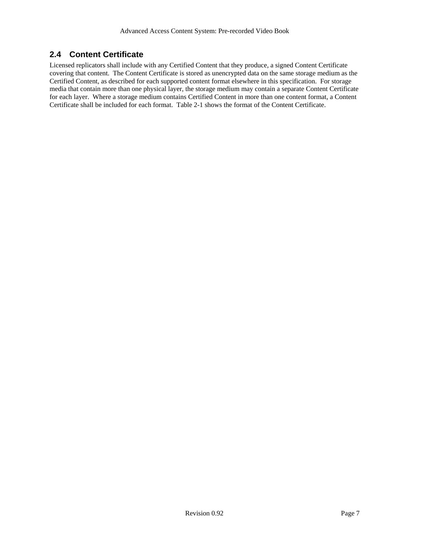#### **2.4 Content Certificate**

Licensed replicators shall include with any Certified Content that they produce, a signed Content Certificate covering that content. The Content Certificate is stored as unencrypted data on the same storage medium as the Certified Content, as described for each supported content format elsewhere in this specification. For storage media that contain more than one physical layer, the storage medium may contain a separate Content Certificate for each layer. Where a storage medium contains Certified Content in more than one content format, a Content Certificate shall be included for each format. Table 2-1 shows the format of the Content Certificate.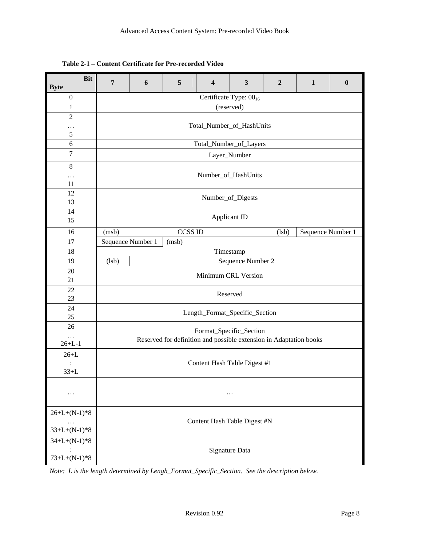| <b>Bit</b><br><b>Byte</b> | $7\phantom{.0}$            | 6                            | 5                | $\overline{\mathbf{4}}$                                                                       | 3                 | $\boldsymbol{2}$ | $\mathbf{1}$      | $\boldsymbol{0}$ |  |  |
|---------------------------|----------------------------|------------------------------|------------------|-----------------------------------------------------------------------------------------------|-------------------|------------------|-------------------|------------------|--|--|
| $\boldsymbol{0}$          |                            |                              |                  | Certificate Type: 00 <sub>16</sub>                                                            |                   |                  |                   |                  |  |  |
| 1                         |                            |                              |                  | (reserved)                                                                                    |                   |                  |                   |                  |  |  |
| $\overline{2}$            |                            |                              |                  |                                                                                               |                   |                  |                   |                  |  |  |
| .<br>5                    |                            | Total_Number_of_HashUnits    |                  |                                                                                               |                   |                  |                   |                  |  |  |
| 6                         |                            |                              |                  | Total_Number_of_Layers                                                                        |                   |                  |                   |                  |  |  |
| $\tau$                    |                            |                              |                  | Layer_Number                                                                                  |                   |                  |                   |                  |  |  |
| $\,8\,$                   |                            |                              |                  |                                                                                               |                   |                  |                   |                  |  |  |
| .                         |                            |                              |                  | Number_of_HashUnits                                                                           |                   |                  |                   |                  |  |  |
| 11                        |                            |                              |                  |                                                                                               |                   |                  |                   |                  |  |  |
| 12                        |                            |                              |                  | Number_of_Digests                                                                             |                   |                  |                   |                  |  |  |
| 13                        |                            |                              |                  |                                                                                               |                   |                  |                   |                  |  |  |
| 14<br>15                  |                            |                              |                  | Applicant ID                                                                                  |                   |                  |                   |                  |  |  |
|                           |                            |                              |                  |                                                                                               |                   |                  |                   |                  |  |  |
| 16<br>17                  | (msb)<br>Sequence Number 1 |                              | CCSS ID<br>(msb) |                                                                                               |                   | (lsb)            | Sequence Number 1 |                  |  |  |
| 18                        |                            |                              |                  | Timestamp                                                                                     |                   |                  |                   |                  |  |  |
| 19                        | (lsb)                      |                              |                  |                                                                                               | Sequence Number 2 |                  |                   |                  |  |  |
| 20                        |                            |                              |                  |                                                                                               |                   |                  |                   |                  |  |  |
| 21                        |                            |                              |                  | Minimum CRL Version                                                                           |                   |                  |                   |                  |  |  |
| 22                        |                            |                              |                  | Reserved                                                                                      |                   |                  |                   |                  |  |  |
| 23                        |                            |                              |                  |                                                                                               |                   |                  |                   |                  |  |  |
| 24<br>25                  |                            |                              |                  | Length_Format_Specific_Section                                                                |                   |                  |                   |                  |  |  |
| 26                        |                            |                              |                  |                                                                                               |                   |                  |                   |                  |  |  |
| $\cdots$                  |                            |                              |                  | Format_Specific_Section<br>Reserved for definition and possible extension in Adaptation books |                   |                  |                   |                  |  |  |
| $26 + L - 1$              |                            |                              |                  |                                                                                               |                   |                  |                   |                  |  |  |
| $26+L$                    |                            |                              |                  |                                                                                               |                   |                  |                   |                  |  |  |
| $33+L$                    |                            |                              |                  | Content Hash Table Digest #1                                                                  |                   |                  |                   |                  |  |  |
|                           |                            |                              |                  |                                                                                               |                   |                  |                   |                  |  |  |
|                           |                            | .                            |                  |                                                                                               |                   |                  |                   |                  |  |  |
|                           |                            |                              |                  |                                                                                               |                   |                  |                   |                  |  |  |
| $26+L+(N-1)*8$            |                            |                              |                  |                                                                                               |                   |                  |                   |                  |  |  |
|                           |                            | Content Hash Table Digest #N |                  |                                                                                               |                   |                  |                   |                  |  |  |
| $33+L+(N-1)*8$            |                            |                              |                  |                                                                                               |                   |                  |                   |                  |  |  |
| $34+L+(N-1)*8$            |                            |                              |                  |                                                                                               |                   |                  |                   |                  |  |  |
| $73+L+(N-1)*8$            |                            |                              |                  | Signature Data                                                                                |                   |                  |                   |                  |  |  |

**Table 2-1 – Content Certificate for Pre-recorded Video** 

*Note: L is the length determined by Lengh\_Format\_Specific\_Section. See the description below.*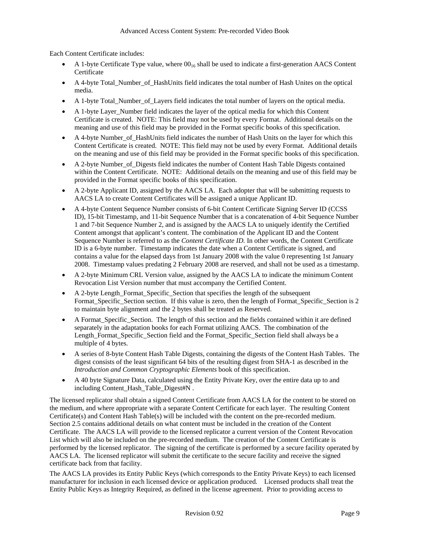Each Content Certificate includes:

- A 1-byte Certificate Type value, where  $00<sub>16</sub>$  shall be used to indicate a first-generation AACS Content Certificate
- A 4-byte Total\_Number\_of\_HashUnits field indicates the total number of Hash Unites on the optical media.
- A 1-byte Total\_Number\_of\_Layers field indicates the total number of layers on the optical media.
- A 1-byte Layer\_Number field indicates the layer of the optical media for which this Content Certificate is created. NOTE: This field may not be used by every Format. Additional details on the meaning and use of this field may be provided in the Format specific books of this specification.
- A 4-byte Number of HashUnits field indicates the number of Hash Units on the layer for which this Content Certificate is created. NOTE: This field may not be used by every Format. Additional details on the meaning and use of this field may be provided in the Format specific books of this specification.
- A 2-byte Number of Digests field indicates the number of Content Hash Table Digests contained within the Content Certificate. NOTE: Additional details on the meaning and use of this field may be provided in the Format specific books of this specification.
- A 2-byte Applicant ID, assigned by the AACS LA. Each adopter that will be submitting requests to AACS LA to create Content Certificates will be assigned a unique Applicant ID.
- A 4-byte Content Sequence Number consists of 6-bit Content Certificate Signing Server ID (CCSS ID), 15-bit Timestamp, and 11-bit Sequence Number that is a concatenation of 4-bit Sequence Number 1 and 7-bit Sequence Number 2, and is assigned by the AACS LA to uniquely identify the Certified Content amongst that applicant's content. The combination of the Applicant ID and the Content Sequence Number is referred to as the *Content Certificate ID.* In other words, the Content Certificate ID is a 6-byte number. Timestamp indicates the date when a Content Certificate is signed, and contains a value for the elapsed days from 1st January 2008 with the value 0 representing 1st January 2008. Timestamp values predating 2 February 2008 are reserved, and shall not be used as a timestamp.
- A 2-byte Minimum CRL Version value, assigned by the AACS LA to indicate the minimum Content Revocation List Version number that must accompany the Certified Content.
- A 2-byte Length\_Format\_Specific\_Section that specifies the length of the subsequent Format Specific Section section. If this value is zero, then the length of Format Specific Section is 2 to maintain byte alignment and the 2 bytes shall be treated as Reserved.
- A Format Specific Section. The length of this section and the fields contained within it are defined separately in the adaptation books for each Format utilizing AACS. The combination of the Length Format Specific Section field and the Format Specific Section field shall always be a multiple of 4 bytes.
- A series of 8-byte Content Hash Table Digests, containing the digests of the Content Hash Tables. The digest consists of the least significant 64 bits of the resulting digest from SHA-1 as described in the *Introduction and Common Cryptographic Elements* book of this specification.
- A 40 byte Signature Data, calculated using the Entity Private Key, over the entire data up to and including Content\_Hash\_Table\_Digest#N .

The licensed replicator shall obtain a signed Content Certificate from AACS LA for the content to be stored on the medium, and where appropriate with a separate Content Certificate for each layer. The resulting Content Certificate(s) and Content Hash Table(s) will be included with the content on the pre-recorded medium. Section 2.5 contains additional details on what content must be included in the creation of the Content Certificate. The AACS LA will provide to the licensed replicator a current version of the Content Revocation List which will also be included on the pre-recorded medium. The creation of the Content Certificate is performed by the licensed replicator. The signing of the certificate is performed by a secure facility operated by AACS LA. The licensed replicator will submit the certificate to the secure facility and receive the signed certificate back from that facility.

The AACS LA provides its Entity Public Keys (which corresponds to the Entity Private Keys) to each licensed manufacturer for inclusion in each licensed device or application produced. Licensed products shall treat the Entity Public Keys as Integrity Required, as defined in the license agreement. Prior to providing access to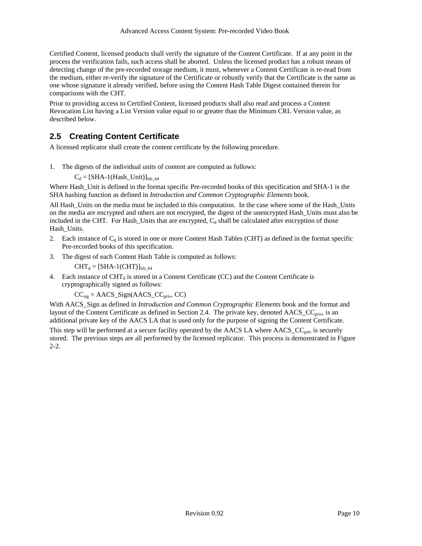Certified Content, licensed products shall verify the signature of the Content Certificate. If at any point in the process the verification fails, such access shall be aborted. Unless the licensed product has a robust means of detecting change of the pre-recorded storage medium, it must, whenever a Content Certificate is re-read from the medium, either re-verify the signature of the Certificate or robustly verify that the Certificate is the same as one whose signature it already verified, before using the Content Hash Table Digest contained therein for comparisons with the CHT.

Prior to providing access to Certified Content, licensed products shall also read and process a Content Revocation List having a List Version value equal to or greater than the Minimum CRL Version value, as described below.

## **2.5 Creating Content Certificate**

A licensed replicator shall create the content certificate by the following procedure.

1. The digests of the individual units of content are computed as follows:

 $C_d = [SHA-1(Hash_Uinit)]_{lsb-64}$ 

Where Hash Unit is defined in the format specific Pre-recorded books of this specification and SHA-1 is the SHA hashing function as defined in *Introduction and Common Cryptographic Elements* book.

All Hash\_Units on the media must be included in this computation. In the case where some of the Hash\_Units on the media are encrypted and others are not encrypted, the digest of the unencrypted Hash\_Units must also be included in the CHT. For Hash\_Units that are encrypted,  $C<sub>d</sub>$  shall be calculated after encryption of those Hash\_Units.

- 2. Each instance of  $C_d$  is stored in one or more Content Hash Tables (CHT) as defined in the format specific Pre-recorded books of this specification.
- 3. The digest of each Content Hash Table is computed as follows:

 $CHT_d = [SHA-1(CHT)]_{lsb-64}$ 

4. Each instance of  $CHT<sub>d</sub>$  is stored in a Content Certificate (CC) and the Content Certificate is cryptographically signed as follows:

 $CC_{sig} = AACS\_Sign(AACS\_CC_{priv}, CC)$ 

With AACS\_Sign as defined in *Introduction and Common Cryptographic Elements* book and the format and layout of the Content Certificate as defined in Section 2.4. The private key, denoted  $AACS\_CC_{\text{priv}}$ , is an additional private key of the AACS LA that is used only for the purpose of signing the Content Certificate. This step will be performed at a secure facility operated by the AACS LA where  $AACS$ <sub>CC<sub>priv</sub> is securely</sub> stored. The previous steps are all performed by the licensed replicator. This process is demonstrated in Figure 2-2.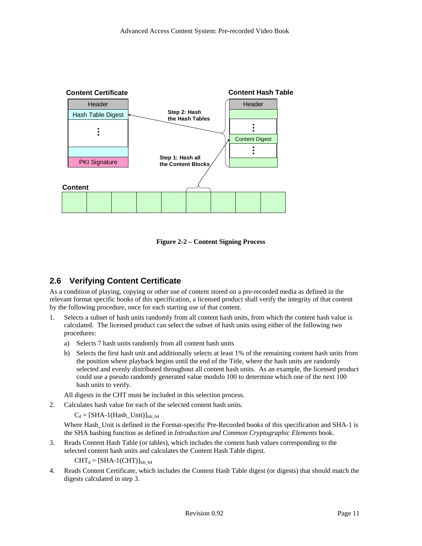

**Figure 2-2 – Content Signing Process** 

## **2.6 Verifying Content Certificate**

As a condition of playing, copying or other use of content stored on a pre-recorded media as defined in the relevant format specific books of this specification, a licensed product shall verify the integrity of that content by the following procedure, once for each starting use of that content.

- 1. Selects a subset of hash units randomly from all content hash units, from which the content hash value is calculated. The licensed product can select the subset of hash units using either of the following two procedures:
	- a) Selects 7 hash units randomly from all content hash units
	- b) Selects the first hash unit and additionally selects at least 1% of the remaining content hash units from the position where playback begins until the end of the Title, where the hash units are randomly selected and evenly distributed throughout all content hash units. As an example, the licensed product could use a pseudo randomly generated value modulo 100 to determine which one of the next 100 hash units to verify.

All digests in the CHT must be included in this selection process.

2. Calculates hash value for each of the selected content hash units.

 $C_d = [SHA-1(Hash_UInit)]_{lsb-64}$ 

Where Hash\_Unit is defined in the Format-specific Pre-Recorded books of this specification and SHA-1 is the SHA hashing function as defined in *Introduction and Common Cryptographic Elements* book.

3. Reads Content Hash Table (or tables), which includes the content hash values corresponding to the selected content hash units and calculates the Content Hash Table digest.

 $CHT_d = [SHA-1(CHT)]<sub>lsb-64</sub>$ 

4. Reads Content Certificate, which includes the Content Hash Table digest (or digests) that should match the digests calculated in step 3.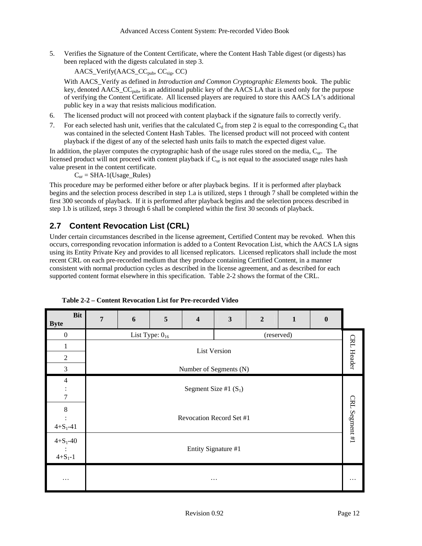5. Verifies the Signature of the Content Certificate, where the Content Hash Table digest (or digests) has been replaced with the digests calculated in step 3.

AACS\_Verify(AACS\_CC<sub>pub</sub>, CC<sub>sig</sub>, CC)

With AACS\_Verify as defined in *Introduction and Common Cryptographic Elements* book. The public key, denoted AACS\_CC<sub>pub</sub>, is an additional public key of the AACS LA that is used only for the purpose of verifying the Content Certificate. All licensed players are required to store this AACS LA's additional public key in a way that resists malicious modification.

- 6. The licensed product will not proceed with content playback if the signature fails to correctly verify.
- 7. For each selected hash unit, verifies that the calculated  $C_d$  from step 2 is equal to the corresponding  $C_d$  that was contained in the selected Content Hash Tables. The licensed product will not proceed with content playback if the digest of any of the selected hash units fails to match the expected digest value.

In addition, the player computes the cryptographic hash of the usage rules stored on the media, C<sub>ur</sub>. The licensed product will not proceed with content playback if C<sub>ur</sub> is not equal to the associated usage rules hash value present in the content certificate.

 $C_{\text{ur}} = SHA-1$ (Usage\_Rules)

This procedure may be performed either before or after playback begins. If it is performed after playback begins and the selection process described in step 1.a is utilized, steps 1 through 7 shall be completed within the first 300 seconds of playback. If it is performed after playback begins and the selection process described in step 1.b is utilized, steps 3 through 6 shall be completed within the first 30 seconds of playback.

## **2.7 Content Revocation List (CRL)**

Under certain circumstances described in the license agreement, Certified Content may be revoked. When this occurs, corresponding revocation information is added to a Content Revocation List, which the AACS LA signs using its Entity Private Key and provides to all licensed replicators. Licensed replicators shall include the most recent CRL on each pre-recorded medium that they produce containing Certified Content, in a manner consistent with normal production cycles as described in the license agreement, and as described for each supported content format elsewhere in this specification. Table 2-2 shows the format of the CRL.

| <b>Bit</b><br><b>Byte</b> | 7                   | 6                                 | $\overline{5}$ | $\overline{\mathbf{4}}$ | 3                       | $\boldsymbol{2}$ | 1 | $\boldsymbol{0}$ |                   |  |
|---------------------------|---------------------|-----------------------------------|----------------|-------------------------|-------------------------|------------------|---|------------------|-------------------|--|
| $\overline{0}$            |                     | List Type: $0_{16}$<br>(reserved) |                |                         |                         |                  |   |                  |                   |  |
| 1                         |                     |                                   |                |                         | <b>List Version</b>     |                  |   |                  | <b>CRL Header</b> |  |
| $\overline{2}$            |                     |                                   |                |                         |                         |                  |   |                  |                   |  |
| $\mathfrak{Z}$            |                     | Number of Segments (N)            |                |                         |                         |                  |   |                  |                   |  |
| $\overline{4}$            |                     |                                   |                |                         |                         |                  |   |                  |                   |  |
| $\bullet$<br>7            |                     |                                   |                |                         | Segment Size #1 $(S_1)$ |                  |   |                  |                   |  |
| $\,8\,$                   |                     |                                   |                |                         |                         |                  |   |                  | CRL Segment #1    |  |
|                           |                     | Revocation Record Set #1          |                |                         |                         |                  |   |                  |                   |  |
| $4 + S_1 - 41$            |                     |                                   |                |                         |                         |                  |   |                  |                   |  |
| $4 + S_1 - 40$            |                     |                                   |                |                         |                         |                  |   |                  |                   |  |
| $4 + S_1 - 1$             | Entity Signature #1 |                                   |                |                         |                         |                  |   |                  |                   |  |
|                           |                     |                                   |                |                         |                         |                  |   |                  |                   |  |
|                           |                     |                                   |                |                         |                         |                  |   |                  |                   |  |
| $\cdots$                  |                     |                                   |                |                         | $\cdots$                |                  |   |                  |                   |  |

**Table 2-2 – Content Revocation List for Pre-recorded Video**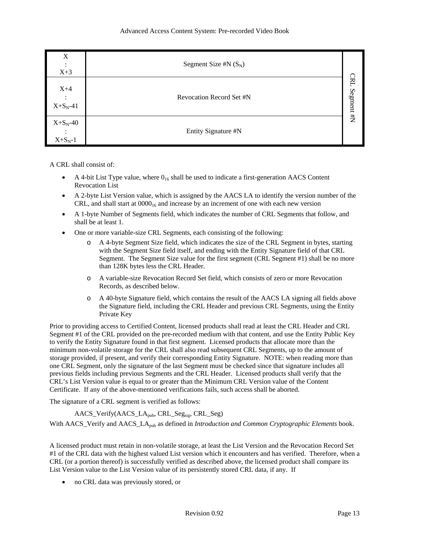| X<br>$\bullet$<br>$\bullet$<br>$X+3$ | Segment Size #N $(S_N)$         |                |
|--------------------------------------|---------------------------------|----------------|
| $X+4$<br>$X + S_N - 41$              | <b>Revocation Record Set #N</b> | CRL Segment #N |
| $X + S_N - 40$<br>$X + S_N - 1$      | Entity Signature #N             |                |

A CRL shall consist of:

- A 4-bit List Type value, where  $0_{16}$  shall be used to indicate a first-generation AACS Content Revocation List
- A 2-byte List Version value, which is assigned by the AACS LA to identify the version number of the CRL, and shall start at  $0000_{16}$  and increase by an increment of one with each new version
- A 1-byte Number of Segments field, which indicates the number of CRL Segments that follow, and shall be at least 1.
- One or more variable-size CRL Segments, each consisting of the following:
	- o A 4-byte Segment Size field, which indicates the size of the CRL Segment in bytes, starting with the Segment Size field itself, and ending with the Entity Signature field of that CRL Segment. The Segment Size value for the first segment (CRL Segment #1) shall be no more than 128K bytes less the CRL Header.
	- o A variable-size Revocation Record Set field, which consists of zero or more Revocation Records, as described below.
	- o A 40-byte Signature field, which contains the result of the AACS LA signing all fields above the Signature field, including the CRL Header and previous CRL Segments, using the Entity Private Key

Prior to providing access to Certified Content, licensed products shall read at least the CRL Header and CRL Segment #1 of the CRL provided on the pre-recorded medium with that content, and use the Entity Public Key to verify the Entity Signature found in that first segment. Licensed products that allocate more than the minimum non-volatile storage for the CRL shall also read subsequent CRL Segments, up to the amount of storage provided, if present, and verify their corresponding Entity Signature. NOTE: when reading more than one CRL Segment, only the signature of the last Segment must be checked since that signature includes all previous fields including previous Segments and the CRL Header. Licensed products shall verify that the CRL's List Version value is equal to or greater than the Minimum CRL Version value of the Content Certificate. If any of the above-mentioned verifications fails, such access shall be aborted.

The signature of a CRL segment is verified as follows:

AACS\_Verify(AACS\_LApub, CRL\_Segsig, CRL\_Seg) With AACS\_Verify and AACS\_LApub as defined in *Introduction and Common Cryptographic Elements* book.

A licensed product must retain in non-volatile storage, at least the List Version and the Revocation Record Set #1 of the CRL data with the highest valued List version which it encounters and has verified. Therefore, when a CRL (or a portion thereof) is successfully verified as described above, the licensed product shall compare its List Version value to the List Version value of its persistently stored CRL data, if any. If

• no CRL data was previously stored, or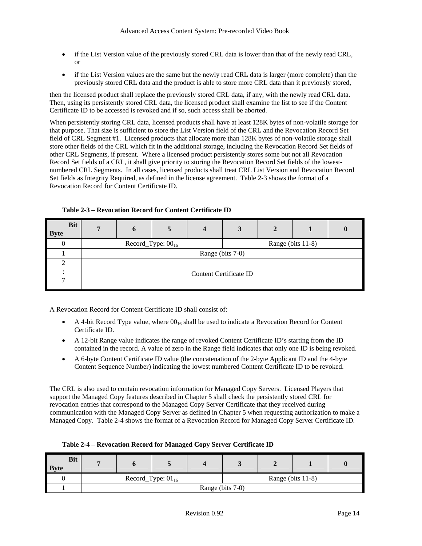- if the List Version value of the previously stored CRL data is lower than that of the newly read CRL, or
- if the List Version values are the same but the newly read CRL data is larger (more complete) than the previously stored CRL data and the product is able to store more CRL data than it previously stored,

then the licensed product shall replace the previously stored CRL data, if any, with the newly read CRL data. Then, using its persistently stored CRL data, the licensed product shall examine the list to see if the Content Certificate ID to be accessed is revoked and if so, such access shall be aborted.

When persistently storing CRL data, licensed products shall have at least 128K bytes of non-volatile storage for that purpose. That size is sufficient to store the List Version field of the CRL and the Revocation Record Set field of CRL Segment #1. Licensed products that allocate more than 128K bytes of non-volatile storage shall store other fields of the CRL which fit in the additional storage, including the Revocation Record Set fields of other CRL Segments, if present. Where a licensed product persistently stores some but not all Revocation Record Set fields of a CRL, it shall give priority to storing the Revocation Record Set fields of the lowestnumbered CRL Segments. In all cases, licensed products shall treat CRL List Version and Revocation Record Set fields as Integrity Required, as defined in the license agreement. Table 2-3 shows the format of a Revocation Record for Content Certificate ID.

| <b>Bit</b><br><b>Byte</b> | Η                             | $\mathbf b$            |  |  | 3 |  |                   |  |
|---------------------------|-------------------------------|------------------------|--|--|---|--|-------------------|--|
|                           |                               | Record_Type: $00_{16}$ |  |  |   |  | Range (bits 11-8) |  |
|                           |                               | Range (bits 7-0)       |  |  |   |  |                   |  |
| 2                         |                               |                        |  |  |   |  |                   |  |
| ٠                         | <b>Content Certificate ID</b> |                        |  |  |   |  |                   |  |
| ⇁                         |                               |                        |  |  |   |  |                   |  |

**Table 2-3 – Revocation Record for Content Certificate ID** 

A Revocation Record for Content Certificate ID shall consist of:

- A 4-bit Record Type value, where  $00_{16}$  shall be used to indicate a Revocation Record for Content Certificate ID.
- A 12-bit Range value indicates the range of revoked Content Certificate ID's starting from the ID contained in the record. A value of zero in the Range field indicates that only one ID is being revoked.
- A 6-byte Content Certificate ID value (the concatenation of the 2-byte Applicant ID and the 4-byte Content Sequence Number) indicating the lowest numbered Content Certificate ID to be revoked.

The CRL is also used to contain revocation information for Managed Copy Servers. Licensed Players that support the Managed Copy features described in Chapter 5 shall check the persistently stored CRL for revocation entries that correspond to the Managed Copy Server Certificate that they received during communication with the Managed Copy Server as defined in Chapter 5 when requesting authorization to make a Managed Copy. Table 2-4 shows the format of a Revocation Record for Managed Copy Server Certificate ID.

| Table 2-4 – Revocation Record for Managed Copy Server Certificate ID |  |  |
|----------------------------------------------------------------------|--|--|
|                                                                      |  |  |

| <b>Bit</b><br><b>Byte</b> |                  |                        |  |  |  |                   |  |
|---------------------------|------------------|------------------------|--|--|--|-------------------|--|
|                           |                  | Record_Type: $01_{16}$ |  |  |  | Range (bits 11-8) |  |
|                           | Range (bits 7-0) |                        |  |  |  |                   |  |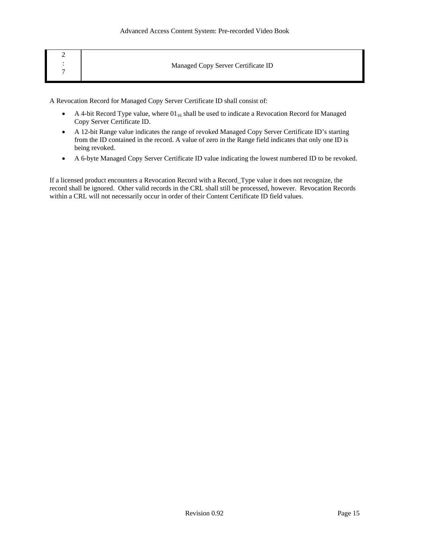| Managed Copy Server Certificate ID |
|------------------------------------|
|                                    |

A Revocation Record for Managed Copy Server Certificate ID shall consist of:

- A 4-bit Record Type value, where  $01_{16}$  shall be used to indicate a Revocation Record for Managed Copy Server Certificate ID.
- A 12-bit Range value indicates the range of revoked Managed Copy Server Certificate ID's starting from the ID contained in the record. A value of zero in the Range field indicates that only one ID is being revoked.
- A 6-byte Managed Copy Server Certificate ID value indicating the lowest numbered ID to be revoked.

If a licensed product encounters a Revocation Record with a Record\_Type value it does not recognize, the record shall be ignored. Other valid records in the CRL shall still be processed, however. Revocation Records within a CRL will not necessarily occur in order of their Content Certificate ID field values.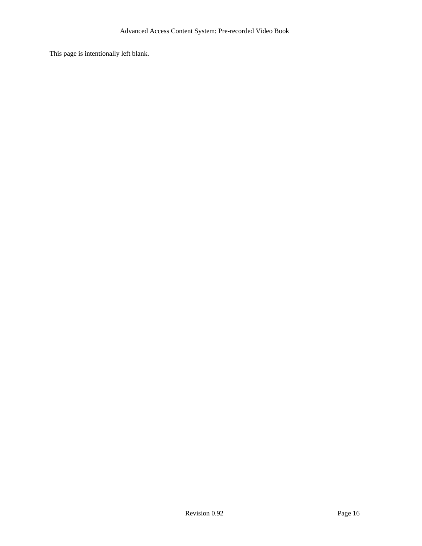This page is intentionally left blank.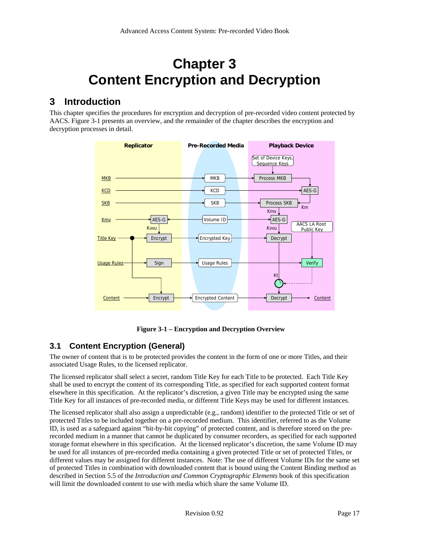# **Chapter 3 Content Encryption and Decryption**

## **3 Introduction**

This chapter specifies the procedures for encryption and decryption of pre-recorded video content protected by AACS. Figure 3-1 presents an overview, and the remainder of the chapter describes the encryption and decryption processes in detail.



**Figure 3-1 – Encryption and Decryption Overview** 

## **3.1 Content Encryption (General)**

The owner of content that is to be protected provides the content in the form of one or more Titles, and their associated Usage Rules, to the licensed replicator.

The licensed replicator shall select a secret, random Title Key for each Title to be protected. Each Title Key shall be used to encrypt the content of its corresponding Title, as specified for each supported content format elsewhere in this specification. At the replicator's discretion, a given Title may be encrypted using the same Title Key for all instances of pre-recorded media, or different Title Keys may be used for different instances.

The licensed replicator shall also assign a unpredictable (e.g., random) identifier to the protected Title or set of protected Titles to be included together on a pre-recorded medium. This identifier, referred to as the Volume ID, is used as a safeguard against "bit-by-bit copying" of protected content, and is therefore stored on the prerecorded medium in a manner that cannot be duplicated by consumer recorders, as specified for each supported storage format elsewhere in this specification. At the licensed replicator's discretion, the same Volume ID may be used for all instances of pre-recorded media containing a given protected Title or set of protected Titles, or different values may be assigned for different instances. Note: The use of different Volume IDs for the same set of protected Titles in combination with downloaded content that is bound using the Content Binding method as described in Section 5.5 of the *Introduction and Common Cryptographic Elements* book of this specification will limit the downloaded content to use with media which share the same Volume ID.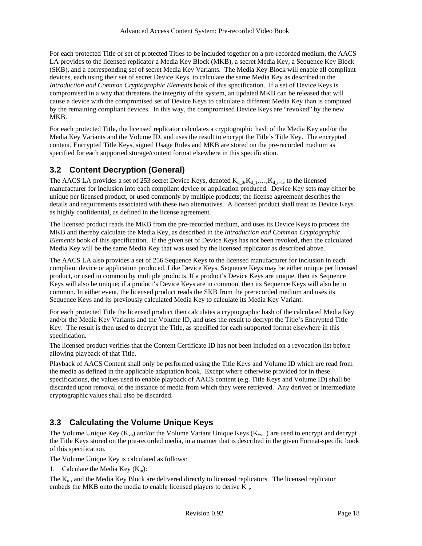For each protected Title or set of protected Titles to be included together on a pre-recorded medium, the AACS LA provides to the licensed replicator a Media Key Block (MKB), a secret Media Key, a Sequence Key Block (SKB), and a corresponding set of secret Media Key Variants. The Media Key Block will enable all compliant devices, each using their set of secret Device Keys, to calculate the same Media Key as described in the *Introduction and Common Cryptographic Elements* book of this specification. If a set of Device Keys is compromised in a way that threatens the integrity of the system, an updated MKB can be released that will cause a device with the compromised set of Device Keys to calculate a different Media Key than is computed by the remaining compliant devices. In this way, the compromised Device Keys are "revoked" by the new MKB.

For each protected Title, the licensed replicator calculates a cryptographic hash of the Media Key and/or the Media Key Variants and the Volume ID, and uses the result to encrypt the Title's Title Key. The encrypted content, Encrypted Title Keys, signed Usage Rules and MKB are stored on the pre-recorded medium as specified for each supported storage/content format elsewhere in this specification.

## **3.2 Content Decryption (General)**

The AACS LA provides a set of 253 secret Device Keys, denoted  $K_{d,0}, K_{d-1}, \ldots, K_{d,n-1}$ , to the licensed manufacturer for inclusion into each compliant device or application produced. Device Key sets may either be unique per licensed product, or used commonly by multiple products; the license agreement describes the details and requirements associated with these two alternatives. A licensed product shall treat its Device Keys as highly confidential, as defined in the license agreement.

The licensed product reads the MKB from the pre-recorded medium, and uses its Device Keys to process the MKB and thereby calculate the Media Key, as described in the *Introduction and Common Cryptographic Elements* book of this specification. If the given set of Device Keys has not been revoked, then the calculated Media Key will be the same Media Key that was used by the licensed replicator as described above.

The AACS LA also provides a set of 256 Sequence Keys to the licensed manufacturer for inclusion in each compliant device or application produced. Like Device Keys, Sequence Keys may be either unique per licensed product, or used in common by multiple products. If a product's Device Keys are unique, then its Sequence Keys will also be unique; if a product's Device Keys are in common, then its Sequence Keys will also be in common. In either event, the licensed product reads the SKB from the prerecorded medium and uses its Sequence Keys and its previously calculated Media Key to calculate its Media Key Variant.

For each protected Title the licensed product then calculates a cryptographic hash of the calculated Media Key and/or the Media Key Variants and the Volume ID, and uses the result to decrypt the Title's Encrypted Title Key. The result is then used to decrypt the Title, as specified for each supported format elsewhere in this specification.

The licensed product verifies that the Content Certificate ID has not been included on a revocation list before allowing playback of that Title.

Playback of AACS Content shall only be performed using the Title Keys and Volume ID which are read from the media as defined in the applicable adaptation book. Except where otherwise provided for in these specifications, the values used to enable playback of AACS content (e.g. Title Keys and Volume ID) shall be discarded upon removal of the instance of media from which they were retrieved. Any derived or intermediate cryptographic values shall also be discarded.

### **3.3 Calculating the Volume Unique Keys**

The Volume Unique Key ( $K_{vu}$ ) and/or the Volume Variant Unique Keys ( $K_{vvu}$ ) are used to encrypt and decrypt the Title Keys stored on the pre-recorded media, in a manner that is described in the given Format-specific book of this specification.

The Volume Unique Key is calculated as follows:

1. Calculate the Media Key  $(K_m)$ :

The  $K_{\rm m}$ , and the Media Key Block are delivered directly to licensed replicators. The licensed replicator embeds the MKB onto the media to enable licensed players to derive  $K<sub>m</sub>$ .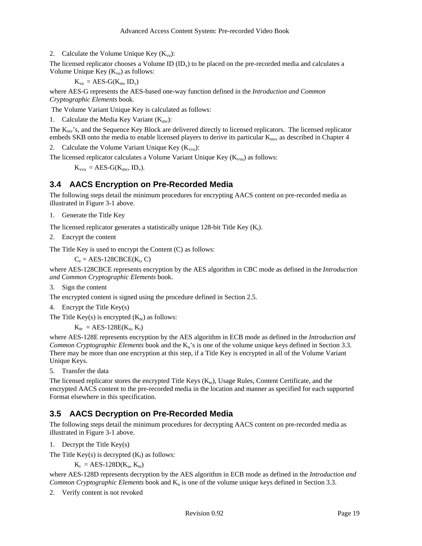2. Calculate the Volume Unique Key  $(K_{vu})$ :

The licensed replicator chooses a Volume ID  $(ID_v)$  to be placed on the pre-recorded media and calculates a Volume Unique Key  $(K_{vu})$  as follows:

 $K_{vu} = AES-G(K_m, ID_v)$ 

where AES-G represents the AES-based one-way function defined in the *Introduction and Common Cryptographic Elements* book.

The Volume Variant Unique Key is calculated as follows:

1. Calculate the Media Key Variant  $(K_{mv})$ :

The  $K_{\text{mv}}$ 's, and the Sequence Key Block are delivered directly to licensed replicators. The licensed replicator embeds SKB onto the media to enable licensed players to derive its particular  $K_{mv}$ , as described in Chapter 4

2. Calculate the Volume Variant Unique Key  $(K_{vvu})$ :

The licensed replicator calculates a Volume Variant Unique Key  $(K_{vvu})$  as follows:

 $K_{vvu} = AES-G(K_{mv}, ID_v).$ 

#### **3.4 AACS Encryption on Pre-Recorded Media**

The following steps detail the minimum procedures for encrypting AACS content on pre-recorded media as illustrated in Figure 3-1 above.

1. Generate the Title Key

The licensed replicator generates a statistically unique 128-bit Title Key  $(K_t)$ .

2. Encrypt the content

The Title Key is used to encrypt the Content (C) as follows:

 $C_e = AES-128CBCE(K_t, C)$ 

where AES-128CBCE represents encryption by the AES algorithm in CBC mode as defined in the *Introduction and Common Cryptographic Elements* book.

3. Sign the content

The encrypted content is signed using the procedure defined in Section 2.5.

4. Encrypt the Title Key(s)

The Title Key(s) is encrypted  $(K_{te})$  as follows:

 $K_{te} = AES-128E(K_{u}, K_{t})$ 

where AES-128E represents encryption by the AES algorithm in ECB mode as defined in the *Introduction and Common Cryptographic Elements* book and the K<sub>u</sub>'s is one of the volume unique keys defined in Section 3.3. There may be more than one encryption at this step, if a Title Key is encrypted in all of the Volume Variant Unique Keys.

5. Transfer the data

The licensed replicator stores the encrypted Title Keys  $(K_{te})$ , Usage Rules, Content Certificate, and the encrypted AACS content to the pre-recorded media in the location and manner as specified for each supported Format elsewhere in this specification.

### **3.5 AACS Decryption on Pre-Recorded Media**

The following steps detail the minimum procedures for decrypting AACS content on pre-recorded media as illustrated in Figure 3-1 above.

1. Decrypt the Title Key(s)

The Title Key(s) is decrypted  $(K_t)$  as follows:

 $K_t = AES-128D(K_u, K_{te})$ 

where AES-128D represents decryption by the AES algorithm in ECB mode as defined in the *Introduction and Common Cryptographic Elements* book and  $K_u$  is one of the volume unique keys defined in Section 3.3.

2. Verify content is not revoked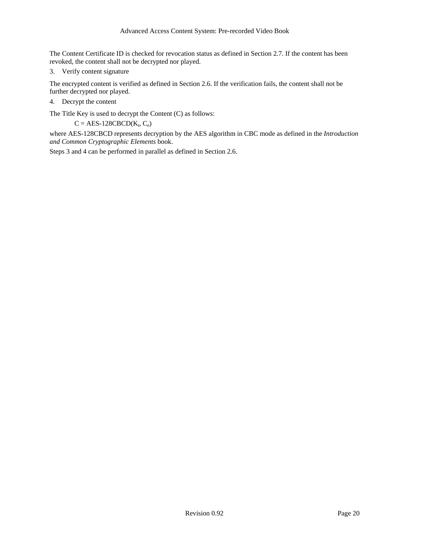The Content Certificate ID is checked for revocation status as defined in Section 2.7. If the content has been revoked, the content shall not be decrypted nor played.

3. Verify content signature

The encrypted content is verified as defined in Section 2.6. If the verification fails, the content shall not be further decrypted nor played.

4. Decrypt the content

The Title Key is used to decrypt the Content (C) as follows:

 $C = AES-128CBCD(K_t, C_e)$ 

where AES-128CBCD represents decryption by the AES algorithm in CBC mode as defined in the *Introduction and Common Cryptographic Elements* book.

Steps 3 and 4 can be performed in parallel as defined in Section 2.6.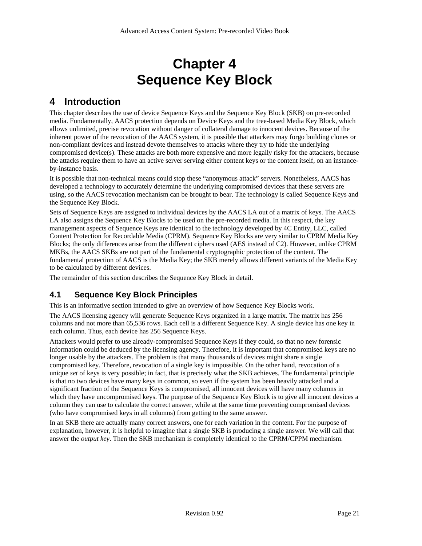# **Chapter 4 Sequence Key Block**

## **4 Introduction**

This chapter describes the use of device Sequence Keys and the Sequence Key Block (SKB) on pre-recorded media. Fundamentally, AACS protection depends on Device Keys and the tree-based Media Key Block, which allows unlimited, precise revocation without danger of collateral damage to innocent devices. Because of the inherent power of the revocation of the AACS system, it is possible that attackers may forgo building clones or non-compliant devices and instead devote themselves to attacks where they try to hide the underlying compromised device(s). These attacks are both more expensive and more legally risky for the attackers, because the attacks require them to have an active server serving either content keys or the content itself, on an instanceby-instance basis.

It is possible that non-technical means could stop these "anonymous attack" servers. Nonetheless, AACS has developed a technology to accurately determine the underlying compromised devices that these servers are using, so the AACS revocation mechanism can be brought to bear. The technology is called Sequence Keys and the Sequence Key Block.

Sets of Sequence Keys are assigned to individual devices by the AACS LA out of a matrix of keys. The AACS LA also assigns the Sequence Key Blocks to be used on the pre-recorded media. In this respect, the key management aspects of Sequence Keys are identical to the technology developed by 4C Entity, LLC, called Content Protection for Recordable Media (CPRM). Sequence Key Blocks are very similar to CPRM Media Key Blocks; the only differences arise from the different ciphers used (AES instead of C2). However, unlike CPRM MKBs, the AACS SKBs are not part of the fundamental cryptographic protection of the content. The fundamental protection of AACS is the Media Key; the SKB merely allows different variants of the Media Key to be calculated by different devices.

The remainder of this section describes the Sequence Key Block in detail.

### **4.1 Sequence Key Block Principles**

This is an informative section intended to give an overview of how Sequence Key Blocks work.

The AACS licensing agency will generate Sequence Keys organized in a large matrix. The matrix has 256 columns and not more than 65,536 rows. Each cell is a different Sequence Key. A single device has one key in each column. Thus, each device has 256 Sequence Keys.

Attackers would prefer to use already-compromised Sequence Keys if they could, so that no new forensic information could be deduced by the licensing agency. Therefore, it is important that compromised keys are no longer usable by the attackers. The problem is that many thousands of devices might share a single compromised key. Therefore, revocation of a single key is impossible. On the other hand, revocation of a unique *set* of keys is very possible; in fact, that is precisely what the SKB achieves. The fundamental principle is that no two devices have many keys in common, so even if the system has been heavily attacked and a significant fraction of the Sequence Keys is compromised, all innocent devices will have many columns in which they have uncompromised keys. The purpose of the Sequence Key Block is to give all innocent devices a column they can use to calculate the correct answer, while at the same time preventing compromised devices (who have compromised keys in all columns) from getting to the same answer.

In an SKB there are actually many correct answers, one for each variation in the content. For the purpose of explanation, however, it is helpful to imagine that a single SKB is producing a single answer. We will call that answer the *output key*. Then the SKB mechanism is completely identical to the CPRM/CPPM mechanism.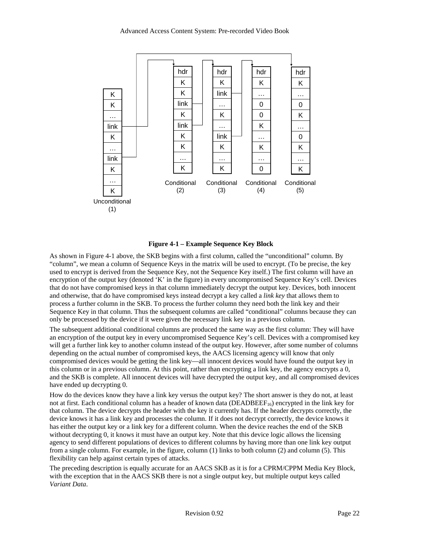

#### **Figure 4-1 – Example Sequence Key Block**

As shown in Figure 4-1 above, the SKB begins with a first column, called the "unconditional" column. By "column", we mean a column of Sequence Keys in the matrix will be used to encrypt. (To be precise, the key used to encrypt is derived from the Sequence Key, not the Sequence Key itself.) The first column will have an encryption of the output key (denoted 'K' in the figure) in every uncompromised Sequence Key's cell. Devices that do not have compromised keys in that column immediately decrypt the output key. Devices, both innocent and otherwise, that do have compromised keys instead decrypt a key called a *link key* that allows them to process a further column in the SKB. To process the further column they need both the link key and their Sequence Key in that column. Thus the subsequent columns are called "conditional" columns because they can only be processed by the device if it were given the necessary link key in a previous column.

The subsequent additional conditional columns are produced the same way as the first column: They will have an encryption of the output key in every uncompromised Sequence Key's cell. Devices with a compromised key will get a further link key to another column instead of the output key. However, after some number of columns depending on the actual number of compromised keys, the AACS licensing agency will know that only compromised devices would be getting the link key—all innocent devices would have found the output key in this column or in a previous column. At this point, rather than encrypting a link key, the agency encrypts a 0, and the SKB is complete. All innocent devices will have decrypted the output key, and all compromised devices have ended up decrypting 0.

How do the devices know they have a link key versus the output key? The short answer is they do not, at least not at first. Each conditional column has a header of known data ( $DEADBEEF_{16}$ ) encrypted in the link key for that column. The device decrypts the header with the key it currently has. If the header decrypts correctly, the device knows it has a link key and processes the column. If it does not decrypt correctly, the device knows it has either the output key or a link key for a different column. When the device reaches the end of the SKB without decrypting 0, it knows it must have an output key. Note that this device logic allows the licensing agency to send different populations of devices to different columns by having more than one link key output from a single column. For example, in the figure, column (1) links to both column (2) and column (5). This flexibility can help against certain types of attacks.

The preceding description is equally accurate for an AACS SKB as it is for a CPRM/CPPM Media Key Block, with the exception that in the AACS SKB there is not a single output key, but multiple output keys called *Variant Data*.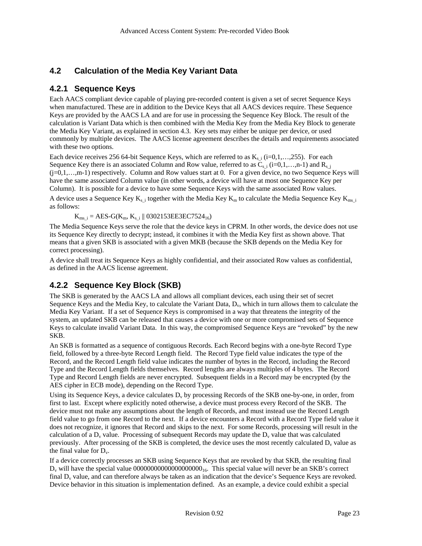## **4.2 Calculation of the Media Key Variant Data**

#### **4.2.1 Sequence Keys**

Each AACS compliant device capable of playing pre-recorded content is given a set of secret Sequence Keys when manufactured. These are in addition to the Device Keys that all AACS devices require. These Sequence Keys are provided by the AACS LA and are for use in processing the Sequence Key Block. The result of the calculation is Variant Data which is then combined with the Media Key from the Media Key Block to generate the Media Key Variant, as explained in section 4.3. Key sets may either be unique per device, or used commonly by multiple devices. The AACS license agreement describes the details and requirements associated with these two options.

Each device receives 256 64-bit Sequence Keys, which are referred to as  $K_{s,i}$  (i=0,1,...,255). For each Sequence Key there is an associated Column and Row value, referred to as  $C_{s,i}$  (i=0,1,…,n-1) and  $R_{s,i}$ (j=0,1,…,m-1) respectively. Column and Row values start at 0. For a given device, no two Sequence Keys will have the same associated Column value (in other words, a device will have at most one Sequence Key per Column). It is possible for a device to have some Sequence Keys with the same associated Row values.

A device uses a Sequence Key  $K_s$  is together with the Media Key  $K_m$  to calculate the Media Sequence Key  $K_{ms}$  is as follows:

 $K_{ms i} = AES-G(K_m, K_{s i} || 0302153EE3EC7524_{16})$ 

The Media Sequence Keys serve the role that the device keys in CPRM. In other words, the device does not use its Sequence Key directly to decrypt; instead, it combines it with the Media Key first as shown above. That means that a given SKB is associated with a given MKB (because the SKB depends on the Media Key for correct processing).

A device shall treat its Sequence Keys as highly confidential, and their associated Row values as confidential, as defined in the AACS license agreement.

### **4.2.2 Sequence Key Block (SKB)**

The SKB is generated by the AACS LA and allows all compliant devices, each using their set of secret Sequence Keys and the Media Key, to calculate the Variant Data, D<sub>v</sub>, which in turn allows them to calculate the Media Key Variant. If a set of Sequence Keys is compromised in a way that threatens the integrity of the system, an updated SKB can be released that causes a device with one or more compromised sets of Sequence Keys to calculate invalid Variant Data. In this way, the compromised Sequence Keys are "revoked" by the new SKB.

An SKB is formatted as a sequence of contiguous Records. Each Record begins with a one-byte Record Type field, followed by a three-byte Record Length field. The Record Type field value indicates the type of the Record, and the Record Length field value indicates the number of bytes in the Record, including the Record Type and the Record Length fields themselves. Record lengths are always multiples of 4 bytes. The Record Type and Record Length fields are never encrypted. Subsequent fields in a Record may be encrypted (by the AES cipher in ECB mode), depending on the Record Type.

Using its Sequence Keys, a device calculates  $D_v$  by processing Records of the SKB one-by-one, in order, from first to last. Except where explicitly noted otherwise, a device must process every Record of the SKB. The device must not make any assumptions about the length of Records, and must instead use the Record Length field value to go from one Record to the next. If a device encounters a Record with a Record Type field value it does not recognize, it ignores that Record and skips to the next. For some Records, processing will result in the calculation of a  $D_v$  value. Processing of subsequent Records may update the  $D_v$  value that was calculated previously. After processing of the SKB is completed, the device uses the most recently calculated  $D<sub>v</sub>$  value as the final value for  $D_v$ .

If a device correctly processes an SKB using Sequence Keys that are revoked by that SKB, the resulting final  $D_v$  will have the special value 000000000000000000000<sub>16</sub>. This special value will never be an SKB's correct final  $D<sub>v</sub>$  value, and can therefore always be taken as an indication that the device's Sequence Keys are revoked. Device behavior in this situation is implementation defined. As an example, a device could exhibit a special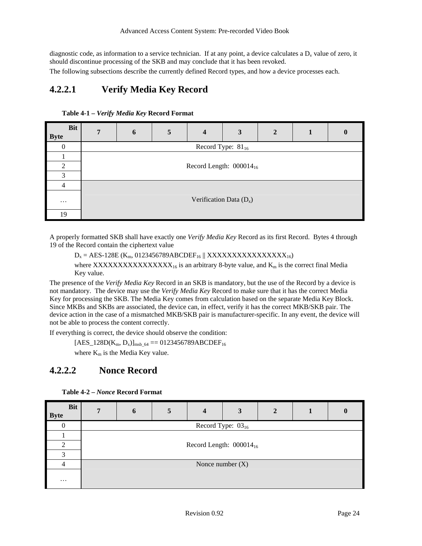diagnostic code, as information to a service technician. If at any point, a device calculates a  $D<sub>v</sub>$  value of zero, it should discontinue processing of the SKB and may conclude that it has been revoked.

The following subsections describe the currently defined Record types, and how a device processes each.

## **4.2.2.1 Verify Media Key Record**

| <b>Bit</b><br><b>Byte</b>   | 7 | 6                            | 5 | 4 | 3 | 2 |  |  |  |  |  |  |
|-----------------------------|---|------------------------------|---|---|---|---|--|--|--|--|--|--|
| $\Omega$                    |   | Record Type: $81_{16}$       |   |   |   |   |  |  |  |  |  |  |
|                             |   |                              |   |   |   |   |  |  |  |  |  |  |
| $\mathcal{D}_{\mathcal{L}}$ |   | Record Length: $000014_{16}$ |   |   |   |   |  |  |  |  |  |  |
| 3                           |   |                              |   |   |   |   |  |  |  |  |  |  |
|                             |   |                              |   |   |   |   |  |  |  |  |  |  |
| $\cdots$                    |   | Verification Data $(D_x)$    |   |   |   |   |  |  |  |  |  |  |
| 19                          |   |                              |   |   |   |   |  |  |  |  |  |  |

**Table 4-1 –** *Verify Media Key* **Record Format** 

A properly formatted SKB shall have exactly one *Verify Media Key* Record as its first Record. Bytes 4 through 19 of the Record contain the ciphertext value

 $D_x = AES-128E (K_m, 0123456789ABCDEF_{16} || XXXXXXXXXXXXXXX)$ where XXXXXXXXXXXXXXX<sub>16</sub> is an arbitrary 8-byte value, and  $K_m$  is the correct final Media Key value.

The presence of the *Verify Media Key* Record in an SKB is mandatory, but the use of the Record by a device is not mandatory. The device may use the *Verify Media Key* Record to make sure that it has the correct Media Key for processing the SKB. The Media Key comes from calculation based on the separate Media Key Block. Since MKBs and SKBs are associated, the device can, in effect, verify it has the correct MKB/SKB pair. The device action in the case of a mismatched MKB/SKB pair is manufacturer-specific. In any event, the device will not be able to process the content correctly.

If everything is correct, the device should observe the condition:

 $[AES_128D(K_m, D_x)]_{msb_64} = 0123456789ABCDEF_{16}$ where  $K_m$  is the Media Key value.

## **4.2.2.2 Nonce Record**

| <b>Bit</b><br><b>Byte</b> | 7                  | 6                      | 5 | $\boldsymbol{4}$             | 3 |  |  |  |  |  |  |  |
|---------------------------|--------------------|------------------------|---|------------------------------|---|--|--|--|--|--|--|--|
|                           |                    | Record Type: $03_{16}$ |   |                              |   |  |  |  |  |  |  |  |
|                           |                    |                        |   |                              |   |  |  |  |  |  |  |  |
| ◠                         |                    |                        |   | Record Length: $000014_{16}$ |   |  |  |  |  |  |  |  |
| 3                         |                    |                        |   |                              |   |  |  |  |  |  |  |  |
|                           | Nonce number $(X)$ |                        |   |                              |   |  |  |  |  |  |  |  |
| $\ddotsc$                 |                    |                        |   |                              |   |  |  |  |  |  |  |  |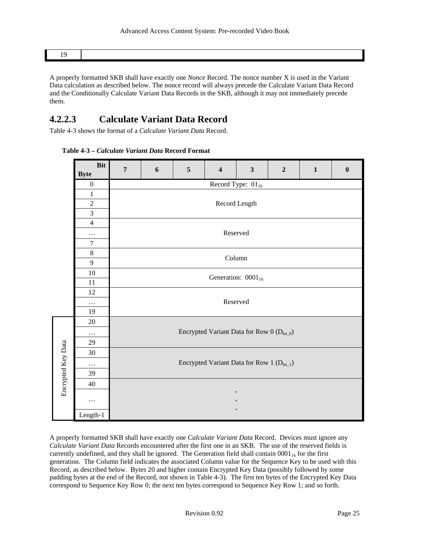| ۰. |
|----|
|----|

A properly formatted SKB shall have exactly one *Nonce* Record. The nonce number X is used in the Variant Data calculation as described below. The nonce record will always precede the Calculate Variant Data Record and the Conditionally Calculate Variant Data Records in the SKB, although it may not immediately precede them.

## **4.2.2.3 Calculate Variant Data Record**

Table 4-3 shows the format of a *Calculate Variant Data* Record.

|    | <b>Bit</b><br><b>Byte</b>                                                       | $\overline{7}$ | 6                                                 | $\overline{5}$ | $\overline{\mathbf{4}}$        | $\mathbf{3}$ | $\overline{2}$ | $\mathbf{1}$ | $\boldsymbol{0}$ |  |  |  |  |
|----|---------------------------------------------------------------------------------|----------------|---------------------------------------------------|----------------|--------------------------------|--------------|----------------|--------------|------------------|--|--|--|--|
|    | Record Type: 01 <sub>16</sub><br>$\boldsymbol{0}$                               |                |                                                   |                |                                |              |                |              |                  |  |  |  |  |
|    | $\mathbf{1}$                                                                    |                |                                                   |                |                                |              |                |              |                  |  |  |  |  |
|    | $\sqrt{2}$                                                                      |                | Record Length                                     |                |                                |              |                |              |                  |  |  |  |  |
|    | 3                                                                               |                |                                                   |                |                                |              |                |              |                  |  |  |  |  |
|    | $\overline{4}$                                                                  |                |                                                   |                |                                |              |                |              |                  |  |  |  |  |
|    | $\cdots$                                                                        |                | Reserved                                          |                |                                |              |                |              |                  |  |  |  |  |
|    | $\tau$                                                                          |                |                                                   |                |                                |              |                |              |                  |  |  |  |  |
|    | $\,8\,$                                                                         |                |                                                   |                | Column                         |              |                |              |                  |  |  |  |  |
|    | 9                                                                               |                |                                                   |                |                                |              |                |              |                  |  |  |  |  |
|    | 10                                                                              |                |                                                   |                | Generation: 0001 <sub>16</sub> |              |                |              |                  |  |  |  |  |
|    | 11                                                                              |                |                                                   |                |                                |              |                |              |                  |  |  |  |  |
|    | 12                                                                              |                |                                                   |                |                                |              |                |              |                  |  |  |  |  |
|    | $\cdots$                                                                        |                |                                                   |                | Reserved                       |              |                |              |                  |  |  |  |  |
|    | 19                                                                              |                |                                                   |                |                                |              |                |              |                  |  |  |  |  |
|    | 20                                                                              |                |                                                   |                |                                |              |                |              |                  |  |  |  |  |
|    | $\cdots$                                                                        |                | Encrypted Variant Data for Row $0$ ( $D_{ke_0}$ ) |                |                                |              |                |              |                  |  |  |  |  |
|    | 29                                                                              |                |                                                   |                |                                |              |                |              |                  |  |  |  |  |
|    | 30                                                                              |                |                                                   |                |                                |              |                |              |                  |  |  |  |  |
|    | Encrypted Key Data<br>Encrypted Variant Data for Row 1 $(D_{ke\_1})$<br>.<br>39 |                |                                                   |                |                                |              |                |              |                  |  |  |  |  |
|    |                                                                                 |                |                                                   |                |                                |              |                |              |                  |  |  |  |  |
| 40 |                                                                                 |                |                                                   |                |                                |              |                |              |                  |  |  |  |  |
|    | .                                                                               |                |                                                   |                |                                |              |                |              |                  |  |  |  |  |
|    | Length-1                                                                        |                |                                                   |                |                                |              |                |              |                  |  |  |  |  |

**Table 4-3 –** *Calculate Variant Data* **Record Format** 

A properly formatted SKB shall have exactly one *Calculate Variant Data* Record. Devices must ignore any *Calculate Variant Data* Records encountered after the first one in an SKB. The use of the reserved fields is currently undefined, and they shall be ignored. The Generation field shall contain  $0001_{16}$  for the first generation. The Column field indicates the associated Column value for the Sequence Key to be used with this Record, as described below. Bytes 20 and higher contain Encrypted Key Data (possibly followed by some padding bytes at the end of the Record, not shown in Table 4-3). The first ten bytes of the Encrypted Key Data correspond to Sequence Key Row 0; the next ten bytes correspond to Sequence Key Row 1; and so forth.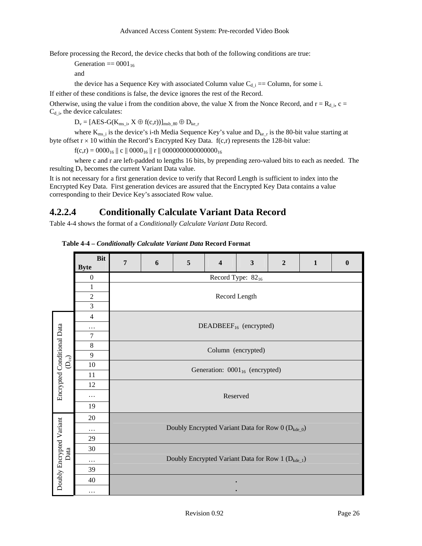Before processing the Record, the device checks that both of the following conditions are true:

Generation  $== 0001_{16}$ 

and

the device has a Sequence Key with associated Column value  $C_{d,i} =$  Column, for some i.

If either of these conditions is false, the device ignores the rest of the Record.

Otherwise, using the value i from the condition above, the value X from the Nonce Record, and  $r = R_{d,i}$ , c =  $C_d$ <sub>i</sub>, the device calculates:

 $D_v = [AES-G(K_{ms_i}, X \oplus f(c,r))]_{msb_80} \oplus D_{ke_r}$ 

where  $K_{ms_i}$  is the device's i-th Media Sequence Key's value and  $D_{ke_i}$  is the 80-bit value starting at byte offset  $r \times 10$  within the Record's Encrypted Key Data.  $f(c,r)$  represents the 128-bit value:

 $f(c,r) = 0000_{16} || c || 0000_{16} || r || 000000000000000_{16}$ 

 where c and r are left-padded to lengths 16 bits, by prepending zero-valued bits to each as needed. The resulting  $D_v$  becomes the current Variant Data value.

It is not necessary for a first generation device to verify that Record Length is sufficient to index into the Encrypted Key Data. First generation devices are assured that the Encrypted Key Data contains a value corresponding to their Device Key's associated Row value.

## **4.2.2.4 Conditionally Calculate Variant Data Record**

Table 4-4 shows the format of a *Conditionally Calculate Variant Data* Record.

|                            | <b>Bit</b><br><b>Byte</b> | $\overline{7}$                             | 6                                                             | 5 | $\overline{\mathbf{4}}$                                       | 3 | $\overline{2}$ | $\mathbf{1}$ | $\boldsymbol{0}$ |  |  |  |  |
|----------------------------|---------------------------|--------------------------------------------|---------------------------------------------------------------|---|---------------------------------------------------------------|---|----------------|--------------|------------------|--|--|--|--|
|                            | $\mathbf{0}$              |                                            | Record Type: 82 <sub>16</sub>                                 |   |                                                               |   |                |              |                  |  |  |  |  |
|                            | 1                         |                                            |                                                               |   |                                                               |   |                |              |                  |  |  |  |  |
|                            | $\overline{2}$            | Record Length                              |                                                               |   |                                                               |   |                |              |                  |  |  |  |  |
|                            | 3                         |                                            |                                                               |   |                                                               |   |                |              |                  |  |  |  |  |
|                            | $\overline{4}$            |                                            |                                                               |   |                                                               |   |                |              |                  |  |  |  |  |
|                            | $\cdots$                  |                                            | $DEADBEEF16$ (encrypted)                                      |   |                                                               |   |                |              |                  |  |  |  |  |
|                            | $\tau$                    |                                            |                                                               |   |                                                               |   |                |              |                  |  |  |  |  |
|                            | 8                         |                                            | Column (encrypted)                                            |   |                                                               |   |                |              |                  |  |  |  |  |
|                            | 9                         |                                            |                                                               |   |                                                               |   |                |              |                  |  |  |  |  |
| $(\mathbf{D}_\mathrm{ce})$ | 10                        | Generation: 0001 <sub>16</sub> (encrypted) |                                                               |   |                                                               |   |                |              |                  |  |  |  |  |
|                            | 11                        |                                            |                                                               |   |                                                               |   |                |              |                  |  |  |  |  |
| Encrypted Conditional Data | 12                        |                                            |                                                               |   |                                                               |   |                |              |                  |  |  |  |  |
|                            | .                         | Reserved                                   |                                                               |   |                                                               |   |                |              |                  |  |  |  |  |
|                            | 19                        |                                            |                                                               |   |                                                               |   |                |              |                  |  |  |  |  |
|                            | 20                        |                                            |                                                               |   |                                                               |   |                |              |                  |  |  |  |  |
|                            | $\cdots$                  |                                            | Doubly Encrypted Variant Data for Row 0 (D <sub>kde 0</sub> ) |   |                                                               |   |                |              |                  |  |  |  |  |
|                            | 29                        |                                            |                                                               |   |                                                               |   |                |              |                  |  |  |  |  |
|                            | 30                        |                                            |                                                               |   |                                                               |   |                |              |                  |  |  |  |  |
| Data                       | $\cdots$                  |                                            |                                                               |   | Doubly Encrypted Variant Data for Row 1 (D <sub>kde_1</sub> ) |   |                |              |                  |  |  |  |  |
|                            | 39                        |                                            |                                                               |   |                                                               |   |                |              |                  |  |  |  |  |
| Doubly Encrypted Variant   | 40                        |                                            |                                                               |   |                                                               |   |                |              |                  |  |  |  |  |
|                            | .                         |                                            |                                                               |   |                                                               |   |                |              |                  |  |  |  |  |

#### **Table 4-4 –** *Conditionally Calculate Variant Data* **Record Format**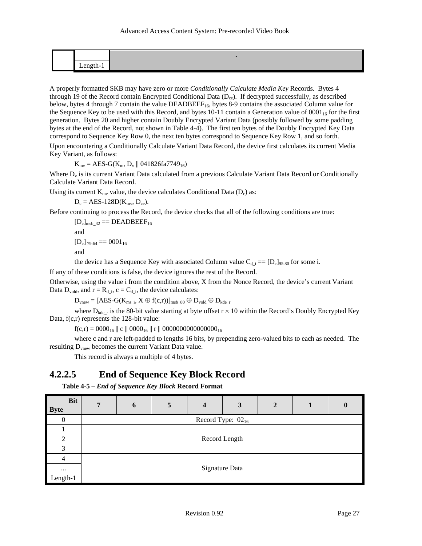|  | $\sim$ $\sim$ $\sim$ $\sim$ $\sim$ $\sim$ $\sim$ $\sim$<br>Luisui-1 |  |
|--|---------------------------------------------------------------------|--|

A properly formatted SKB may have zero or more *Conditionally Calculate Media Key* Records. Bytes 4 through 19 of the Record contain Encrypted Conditional Data  $(D_{ce})$ . If decrypted successfully, as described below, bytes 4 through 7 contain the value DEADBEEF<sub>16</sub>, bytes 8-9 contains the associated Column value for the Sequence Key to be used with this Record, and bytes 10-11 contain a Generation value of  $0001<sub>16</sub>$  for the first generation. Bytes 20 and higher contain Doubly Encrypted Variant Data (possibly followed by some padding bytes at the end of the Record, not shown in Table 4-4). The first ten bytes of the Doubly Encrypted Key Data correspond to Sequence Key Row 0, the next ten bytes correspond to Sequence Key Row 1, and so forth. Upon encountering a Conditionally Calculate Variant Data Record, the device first calculates its current Media Key Variant, as follows:

 $K_{mv} = AES-G(K_m, D_v || 041826fa7749_{16})$ 

Where  $D<sub>v</sub>$  is its current Variant Data calculated from a previous Calculate Variant Data Record or Conditionally Calculate Variant Data Record.

Using its current  $K_{mv}$  value, the device calculates Conditional Data (D<sub>c</sub>) as:

 $D_c = AES-128D(K_{\text{mv}}, D_{ce}).$ 

Before continuing to process the Record, the device checks that all of the following conditions are true:

 $[D_c]_{msb_32} == DEADBEEF_{16}$  and  $[D_c]_{79:64} == 0001_{16}$ and

the device has a Sequence Key with associated Column value  $C_{d i} = [D_c]_{95:80}$  for some i.

If any of these conditions is false, the device ignores the rest of the Record.

Otherwise, using the value i from the condition above, X from the Nonce Record, the device's current Variant Data  $D_{\text{vold}}$ , and  $r = R_{d_i}$ ,  $c = C_{d_i}$ , the device calculates:

 $D_{\text{vnew}} = [AES\text{-}G(K_{\text{ms}_i}, X \oplus f(c,r))]_{\text{msb\_80}} \oplus D_{\text{vold}} \oplus D_{\text{kde\_r}}$ 

where  $D_{kde_r}$  is the 80-bit value starting at byte offset r  $\times$  10 within the Record's Doubly Encrypted Key Data, f(c,r) represents the 128-bit value:

 $f(c,r) = 0000_{16} || c || 0000_{16} || r || 000000000000000_{16}$ 

where c and r are left-padded to lengths 16 bits, by prepending zero-valued bits to each as needed. The resulting  $D_{\text{vnew}}$  becomes the current Variant Data value.

This record is always a multiple of 4 bytes.

## **4.2.2.5 End of Sequence Key Block Record**

**Table 4-5 –** *End of Sequence Key Block* **Record Format** 

| <b>Bit</b><br><b>Byte</b> | 7              | 6                      | 5 | $\overline{\mathbf{4}}$ | 3 | $\mathbf 2$ |  |  |  |  |  |
|---------------------------|----------------|------------------------|---|-------------------------|---|-------------|--|--|--|--|--|
| $\theta$                  |                | Record Type: $02_{16}$ |   |                         |   |             |  |  |  |  |  |
|                           |                |                        |   |                         |   |             |  |  |  |  |  |
| 2                         |                |                        |   | Record Length           |   |             |  |  |  |  |  |
| 3                         |                |                        |   |                         |   |             |  |  |  |  |  |
| $\overline{4}$            |                |                        |   |                         |   |             |  |  |  |  |  |
| $\cdots$                  | Signature Data |                        |   |                         |   |             |  |  |  |  |  |
| Length-1                  |                |                        |   |                         |   |             |  |  |  |  |  |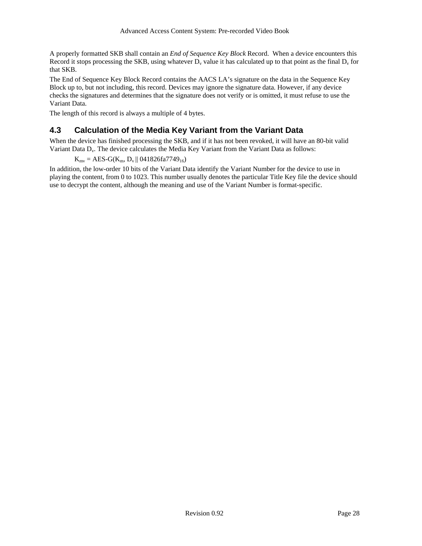A properly formatted SKB shall contain an *End of Sequence Key Block* Record. When a device encounters this Record it stops processing the SKB, using whatever  $D_v$  value it has calculated up to that point as the final  $D_v$  for that SKB.

The End of Sequence Key Block Record contains the AACS LA's signature on the data in the Sequence Key Block up to, but not including, this record. Devices may ignore the signature data. However, if any device checks the signatures and determines that the signature does not verify or is omitted, it must refuse to use the Variant Data.

The length of this record is always a multiple of 4 bytes.

#### **4.3 Calculation of the Media Key Variant from the Variant Data**

When the device has finished processing the SKB, and if it has not been revoked, it will have an 80-bit valid Variant Data D<sub>v</sub>. The device calculates the Media Key Variant from the Variant Data as follows:

 $K_{mv} = AES-G(K_m, D_v || 041826fa7749_{16})$ 

In addition, the low-order 10 bits of the Variant Data identify the Variant Number for the device to use in playing the content, from 0 to 1023. This number usually denotes the particular Title Key file the device should use to decrypt the content, although the meaning and use of the Variant Number is format-specific.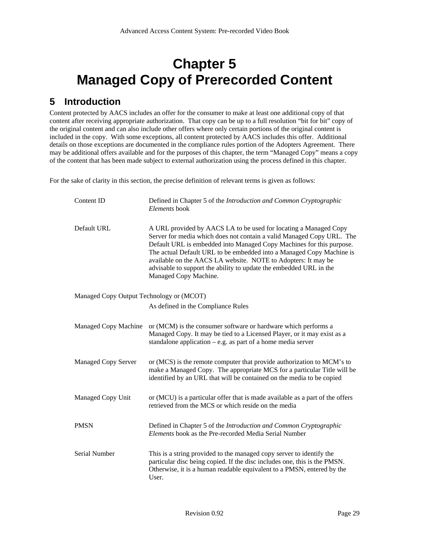# **Chapter 5 Managed Copy of Prerecorded Content**

## **5 Introduction**

Content protected by AACS includes an offer for the consumer to make at least one additional copy of that content after receiving appropriate authorization. That copy can be up to a full resolution "bit for bit" copy of the original content and can also include other offers where only certain portions of the original content is included in the copy. With some exceptions, all content protected by AACS includes this offer. Additional details on those exceptions are documented in the compliance rules portion of the Adopters Agreement. There may be additional offers available and for the purposes of this chapter, the term "Managed Copy" means a copy of the content that has been made subject to external authorization using the process defined in this chapter.

For the sake of clarity in this section, the precise definition of relevant terms is given as follows:

| Content ID                               | Defined in Chapter 5 of the Introduction and Common Cryptographic<br>Elements book                                                                                                                                                                                                                                                                                                                                                                        |
|------------------------------------------|-----------------------------------------------------------------------------------------------------------------------------------------------------------------------------------------------------------------------------------------------------------------------------------------------------------------------------------------------------------------------------------------------------------------------------------------------------------|
| Default URL                              | A URL provided by AACS LA to be used for locating a Managed Copy<br>Server for media which does not contain a valid Managed Copy URL. The<br>Default URL is embedded into Managed Copy Machines for this purpose.<br>The actual Default URL to be embedded into a Managed Copy Machine is<br>available on the AACS LA website. NOTE to Adopters: It may be<br>advisable to support the ability to update the embedded URL in the<br>Managed Copy Machine. |
| Managed Copy Output Technology or (MCOT) |                                                                                                                                                                                                                                                                                                                                                                                                                                                           |
|                                          | As defined in the Compliance Rules                                                                                                                                                                                                                                                                                                                                                                                                                        |
| Managed Copy Machine                     | or (MCM) is the consumer software or hardware which performs a<br>Managed Copy. It may be tied to a Licensed Player, or it may exist as a<br>standalone application $-$ e.g. as part of a home media server                                                                                                                                                                                                                                               |
| <b>Managed Copy Server</b>               | or (MCS) is the remote computer that provide authorization to MCM's to<br>make a Managed Copy. The appropriate MCS for a particular Title will be<br>identified by an URL that will be contained on the media to be copied                                                                                                                                                                                                                                |
| Managed Copy Unit                        | or (MCU) is a particular offer that is made available as a part of the offers<br>retrieved from the MCS or which reside on the media                                                                                                                                                                                                                                                                                                                      |
| <b>PMSN</b>                              | Defined in Chapter 5 of the Introduction and Common Cryptographic<br><i>Elements</i> book as the Pre-recorded Media Serial Number                                                                                                                                                                                                                                                                                                                         |
| Serial Number                            | This is a string provided to the managed copy server to identify the<br>particular disc being copied. If the disc includes one, this is the PMSN.<br>Otherwise, it is a human readable equivalent to a PMSN, entered by the<br>User.                                                                                                                                                                                                                      |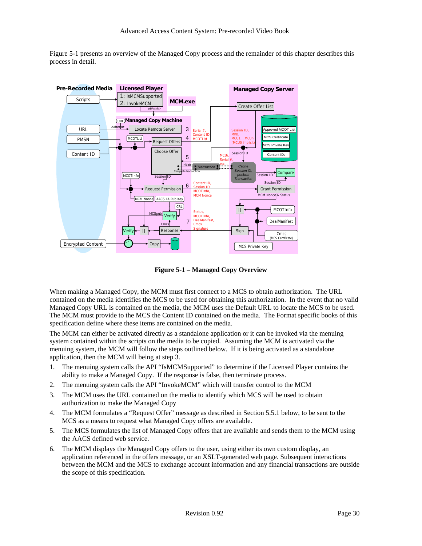Figure 5-1 presents an overview of the Managed Copy process and the remainder of this chapter describes this process in detail.



**Figure 5-1 – Managed Copy Overview** 

When making a Managed Copy, the MCM must first connect to a MCS to obtain authorization. The URL contained on the media identifies the MCS to be used for obtaining this authorization. In the event that no valid Managed Copy URL is contained on the media, the MCM uses the Default URL to locate the MCS to be used. The MCM must provide to the MCS the Content ID contained on the media. The Format specific books of this specification define where these items are contained on the media.

The MCM can either be activated directly as a standalone application or it can be invoked via the menuing system contained within the scripts on the media to be copied. Assuming the MCM is activated via the menuing system, the MCM will follow the steps outlined below. If it is being activated as a standalone application, then the MCM will being at step 3.

- 1. The menuing system calls the API "IsMCMSupported" to determine if the Licensed Player contains the ability to make a Managed Copy. If the response is false, then terminate process.
- 2. The menuing system calls the API "InvokeMCM" which will transfer control to the MCM
- 3. The MCM uses the URL contained on the media to identify which MCS will be used to obtain authorization to make the Managed Copy
- 4. The MCM formulates a "Request Offer" message as described in Section 5.5.1 below, to be sent to the MCS as a means to request what Managed Copy offers are available.
- 5. The MCS formulates the list of Managed Copy offers that are available and sends them to the MCM using the AACS defined web service.
- 6. The MCM displays the Managed Copy offers to the user, using either its own custom display, an application referenced in the offers message, or an XSLT-generated web page. Subsequent interactions between the MCM and the MCS to exchange account information and any financial transactions are outside the scope of this specification.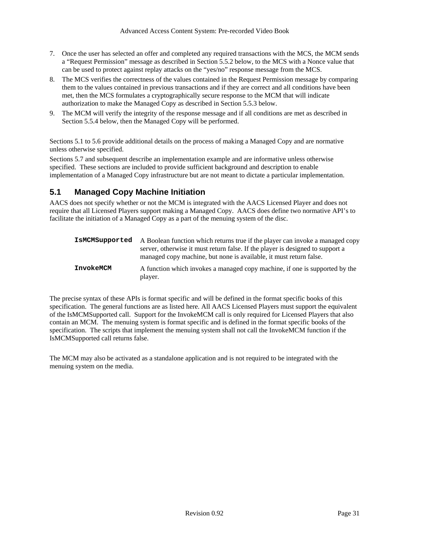- 7. Once the user has selected an offer and completed any required transactions with the MCS, the MCM sends a "Request Permission" message as described in Section 5.5.2 below, to the MCS with a Nonce value that can be used to protect against replay attacks on the "yes/no" response message from the MCS.
- 8. The MCS verifies the correctness of the values contained in the Request Permission message by comparing them to the values contained in previous transactions and if they are correct and all conditions have been met, then the MCS formulates a cryptographically secure response to the MCM that will indicate authorization to make the Managed Copy as described in Section 5.5.3 below.
- 9. The MCM will verify the integrity of the response message and if all conditions are met as described in Section 5.5.4 below, then the Managed Copy will be performed.

Sections 5.1 to 5.6 provide additional details on the process of making a Managed Copy and are normative unless otherwise specified.

Sections 5.7 and subsequent describe an implementation example and are informative unless otherwise specified. These sections are included to provide sufficient background and description to enable implementation of a Managed Copy infrastructure but are not meant to dictate a particular implementation.

#### **5.1 Managed Copy Machine Initiation**

AACS does not specify whether or not the MCM is integrated with the AACS Licensed Player and does not require that all Licensed Players support making a Managed Copy. AACS does define two normative API's to facilitate the initiation of a Managed Copy as a part of the menuing system of the disc.

| IsMCMSupported   | A Boolean function which returns true if the player can invoke a managed copy<br>server, otherwise it must return false. If the player is designed to support a<br>managed copy machine, but none is available, it must return false. |
|------------------|---------------------------------------------------------------------------------------------------------------------------------------------------------------------------------------------------------------------------------------|
| <b>InvokeMCM</b> | A function which invokes a managed copy machine, if one is supported by the<br>player.                                                                                                                                                |

The precise syntax of these APIs is format specific and will be defined in the format specific books of this specification. The general functions are as listed here. All AACS Licensed Players must support the equivalent of the IsMCMSupported call. Support for the InvokeMCM call is only required for Licensed Players that also contain an MCM. The menuing system is format specific and is defined in the format specific books of the specification. The scripts that implement the menuing system shall not call the InvokeMCM function if the IsMCMSupported call returns false.

The MCM may also be activated as a standalone application and is not required to be integrated with the menuing system on the media.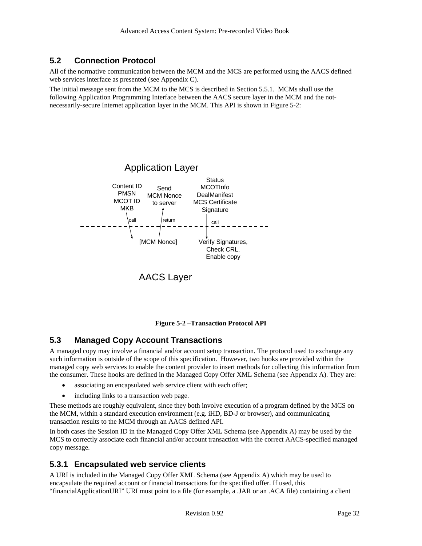## **5.2 Connection Protocol**

All of the normative communication between the MCM and the MCS are performed using the AACS defined web services interface as presented (see Appendix C).

The initial message sent from the MCM to the MCS is described in Section 5.5.1. MCMs shall use the following Application Programming Interface between the AACS secure layer in the MCM and the notnecessarily-secure Internet application layer in the MCM. This API is shown in Figure 5-2:



AACS Layer

#### **Figure 5-2 –Transaction Protocol API**

### **5.3 Managed Copy Account Transactions**

A managed copy may involve a financial and/or account setup transaction. The protocol used to exchange any such information is outside of the scope of this specification. However, two hooks are provided within the managed copy web services to enable the content provider to insert methods for collecting this information from the consumer. These hooks are defined in the Managed Copy Offer XML Schema (see Appendix A). They are:

- associating an encapsulated web service client with each offer;
- including links to a transaction web page.

These methods are roughly equivalent, since they both involve execution of a program defined by the MCS on the MCM, within a standard execution environment (e.g. iHD, BD-J or browser), and communicating transaction results to the MCM through an AACS defined API.

In both cases the Session ID in the Managed Copy Offer XML Schema (see Appendix A) may be used by the MCS to correctly associate each financial and/or account transaction with the correct AACS-specified managed copy message.

#### **5.3.1 Encapsulated web service clients**

A URI is included in the Managed Copy Offer XML Schema (see Appendix A) which may be used to encapsulate the required account or financial transactions for the specified offer. If used, this "financialApplicationURI" URI must point to a file (for example, a .JAR or an .ACA file) containing a client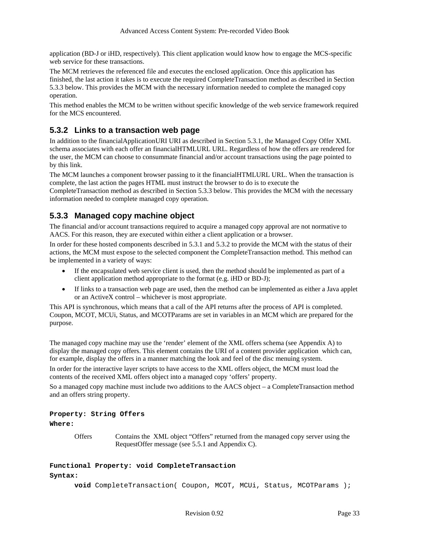application (BD-J or iHD, respectively). This client application would know how to engage the MCS-specific web service for these transactions.

The MCM retrieves the referenced file and executes the enclosed application. Once this application has finished, the last action it takes is to execute the required CompleteTransaction method as described in Section 5.3.3 below. This provides the MCM with the necessary information needed to complete the managed copy operation.

This method enables the MCM to be written without specific knowledge of the web service framework required for the MCS encountered.

#### **5.3.2 Links to a transaction web page**

In addition to the financialApplicationURI URI as described in Section 5.3.1, the Managed Copy Offer XML schema associates with each offer an financialHTMLURL URL. Regardless of how the offers are rendered for the user, the MCM can choose to consummate financial and/or account transactions using the page pointed to by this link.

The MCM launches a component browser passing to it the financialHTMLURL URL. When the transaction is complete, the last action the pages HTML must instruct the browser to do is to execute the CompleteTransaction method as described in Section 5.3.3 below. This provides the MCM with the necessary information needed to complete managed copy operation.

## **5.3.3 Managed copy machine object**

The financial and/or account transactions required to acquire a managed copy approval are not normative to AACS. For this reason, they are executed within either a client application or a browser.

In order for these hosted components described in 5.3.1 and 5.3.2 to provide the MCM with the status of their actions, the MCM must expose to the selected component the CompleteTransaction method. This method can be implemented in a variety of ways:

- If the encapsulated web service client is used, then the method should be implemented as part of a client application method appropriate to the format (e.g. iHD or BD-J);
- If links to a transaction web page are used, then the method can be implemented as either a Java applet or an ActiveX control – whichever is most appropriate.

This API is synchronous, which means that a call of the API returns after the process of API is completed. Coupon, MCOT, MCUi, Status, and MCOTParams are set in variables in an MCM which are prepared for the purpose.

The managed copy machine may use the 'render' element of the XML offers schema (see Appendix A) to display the managed copy offers. This element contains the URI of a content provider application which can, for example, display the offers in a manner matching the look and feel of the disc menuing system.

In order for the interactive layer scripts to have access to the XML offers object, the MCM must load the contents of the received XML offers object into a managed copy 'offers' property.

So a managed copy machine must include two additions to the AACS object – a CompleteTransaction method and an offers string property.

#### **Property: String Offers**

#### **Where:**

Offers Contains the XML object "Offers" returned from the managed copy server using the RequestOffer message (see 5.5.1 and Appendix C).

#### **Functional Property: void CompleteTransaction**

#### **Syntax:**

```
void CompleteTransaction( Coupon, MCOT, MCUi, Status, MCOTParams );
```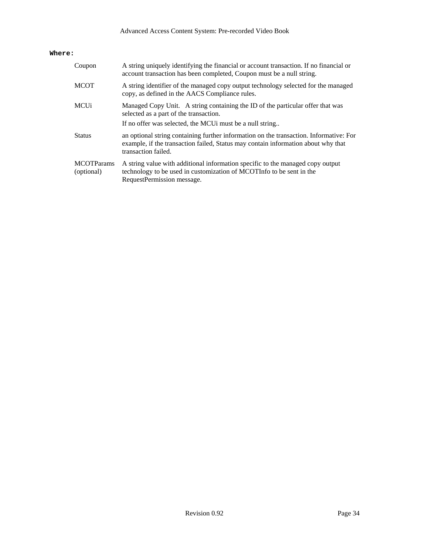#### **Where:**

| Coupon                          | A string uniquely identifying the financial or account transaction. If no financial or<br>account transaction has been completed, Coupon must be a null string.                                    |
|---------------------------------|----------------------------------------------------------------------------------------------------------------------------------------------------------------------------------------------------|
| <b>MCOT</b>                     | A string identifier of the managed copy output technology selected for the managed<br>copy, as defined in the AACS Compliance rules.                                                               |
| <b>MCU</b> i                    | Managed Copy Unit. A string containing the ID of the particular offer that was<br>selected as a part of the transaction.<br>If no offer was selected, the MCU imust be a null string               |
| <b>Status</b>                   | an optional string containing further information on the transaction. Informative: For<br>example, if the transaction failed, Status may contain information about why that<br>transaction failed. |
| <b>MCOTParams</b><br>(optional) | A string value with additional information specific to the managed copy output<br>technology to be used in customization of MCOTInfo to be sent in the<br>RequestPermission message.               |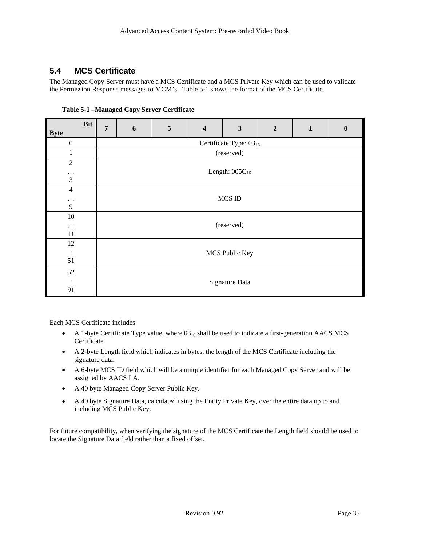#### **5.4 MCS Certificate**

The Managed Copy Server must have a MCS Certificate and a MCS Private Key which can be used to validate the Permission Response messages to MCM's. Table 5-1 shows the format of the MCS Certificate.

| <b>Bit</b><br><b>Byte</b> | $\overline{7}$ | 6                                  | 5 | $\overline{\mathbf{4}}$ | $\mathbf{3}$        | $\overline{2}$ | $\mathbf{1}$ | $\boldsymbol{0}$ |  |  |  |
|---------------------------|----------------|------------------------------------|---|-------------------------|---------------------|----------------|--------------|------------------|--|--|--|
| $\boldsymbol{0}$          |                | Certificate Type: 03 <sub>16</sub> |   |                         |                     |                |              |                  |  |  |  |
| 1                         |                |                                    |   |                         | (reserved)          |                |              |                  |  |  |  |
| $\overline{2}$            |                |                                    |   |                         |                     |                |              |                  |  |  |  |
| .                         |                |                                    |   |                         | Length: $005C_{16}$ |                |              |                  |  |  |  |
| 3                         |                |                                    |   |                         |                     |                |              |                  |  |  |  |
| $\overline{4}$            |                |                                    |   |                         |                     |                |              |                  |  |  |  |
| .<br>9                    |                |                                    |   |                         | MCS ID              |                |              |                  |  |  |  |
| $10\,$                    |                |                                    |   |                         |                     |                |              |                  |  |  |  |
| .                         |                |                                    |   |                         | (reserved)          |                |              |                  |  |  |  |
| 11                        |                |                                    |   |                         |                     |                |              |                  |  |  |  |
| 12                        |                |                                    |   |                         |                     |                |              |                  |  |  |  |
| ÷                         |                |                                    |   |                         | MCS Public Key      |                |              |                  |  |  |  |
| 51                        |                |                                    |   |                         |                     |                |              |                  |  |  |  |
| 52                        |                |                                    |   |                         |                     |                |              |                  |  |  |  |
| ÷                         |                |                                    |   |                         | Signature Data      |                |              |                  |  |  |  |
| 91                        |                |                                    |   |                         |                     |                |              |                  |  |  |  |

**Table 5-1 –Managed Copy Server Certificate** 

Each MCS Certificate includes:

- A 1-byte Certificate Type value, where  $03_{16}$  shall be used to indicate a first-generation AACS MCS **Certificate**
- A 2-byte Length field which indicates in bytes, the length of the MCS Certificate including the signature data.
- A 6-byte MCS ID field which will be a unique identifier for each Managed Copy Server and will be assigned by AACS LA.
- A 40 byte Managed Copy Server Public Key.
- A 40 byte Signature Data, calculated using the Entity Private Key, over the entire data up to and including MCS Public Key.

For future compatibility, when verifying the signature of the MCS Certificate the Length field should be used to locate the Signature Data field rather than a fixed offset.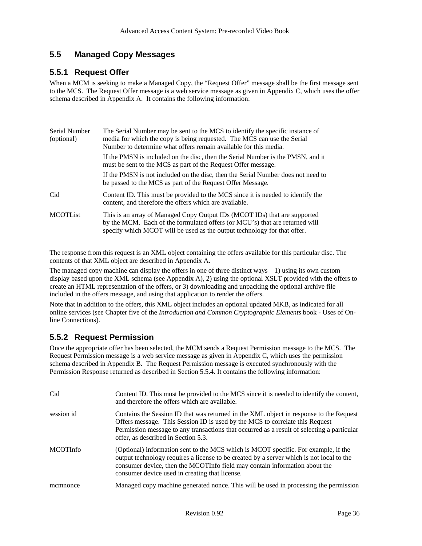#### **5.5 Managed Copy Messages**

#### **5.5.1 Request Offer**

When a MCM is seeking to make a Managed Copy, the "Request Offer" message shall be the first message sent to the MCS. The Request Offer message is a web service message as given in Appendix C, which uses the offer schema described in Appendix A. It contains the following information:

| Serial Number<br>(optional) | The Serial Number may be sent to the MCS to identify the specific instance of<br>media for which the copy is being requested. The MCS can use the Serial<br>Number to determine what offers remain available for this media.         |
|-----------------------------|--------------------------------------------------------------------------------------------------------------------------------------------------------------------------------------------------------------------------------------|
|                             | If the PMSN is included on the disc, then the Serial Number is the PMSN, and it<br>must be sent to the MCS as part of the Request Offer message.                                                                                     |
|                             | If the PMSN is not included on the disc, then the Serial Number does not need to<br>be passed to the MCS as part of the Request Offer Message.                                                                                       |
| Cid                         | Content ID. This must be provided to the MCS since it is needed to identify the<br>content, and therefore the offers which are available.                                                                                            |
| <b>MCOTList</b>             | This is an array of Managed Copy Output IDs (MCOT IDs) that are supported<br>by the MCM. Each of the formulated offers (or MCU's) that are returned will<br>specify which MCOT will be used as the output technology for that offer. |

The response from this request is an XML object containing the offers available for this particular disc. The contents of that XML object are described in Appendix A.

The managed copy machine can display the offers in one of three distinct ways – 1) using its own custom display based upon the XML schema (see Appendix A), 2) using the optional XSLT provided with the offers to create an HTML representation of the offers, or 3) downloading and unpacking the optional archive file included in the offers message, and using that application to render the offers.

Note that in addition to the offers, this XML object includes an optional updated MKB, as indicated for all online services (see Chapter five of the *Introduction and Common Cryptographic Elements* book - Uses of Online Connections).

## **5.5.2 Request Permission**

Once the appropriate offer has been selected, the MCM sends a Request Permission message to the MCS. The Request Permission message is a web service message as given in Appendix C, which uses the permission schema described in Appendix B. The Request Permission message is executed synchronously with the Permission Response returned as described in Section 5.5.4. It contains the following information:

| Cid             | Content ID. This must be provided to the MCS since it is needed to identify the content,<br>and therefore the offers which are available.                                                                                                                                                                      |
|-----------------|----------------------------------------------------------------------------------------------------------------------------------------------------------------------------------------------------------------------------------------------------------------------------------------------------------------|
| session id      | Contains the Session ID that was returned in the XML object in response to the Request<br>Offers message. This Session ID is used by the MCS to correlate this Request<br>Permission message to any transactions that occurred as a result of selecting a particular<br>offer, as described in Section 5.3.    |
| <b>MCOTInfo</b> | (Optional) information sent to the MCS which is MCOT specific. For example, if the<br>output technology requires a license to be created by a server which is not local to the<br>consumer device, then the MCOTInfo field may contain information about the<br>consumer device used in creating that license. |
| mcmnonce        | Managed copy machine generated nonce. This will be used in processing the permission                                                                                                                                                                                                                           |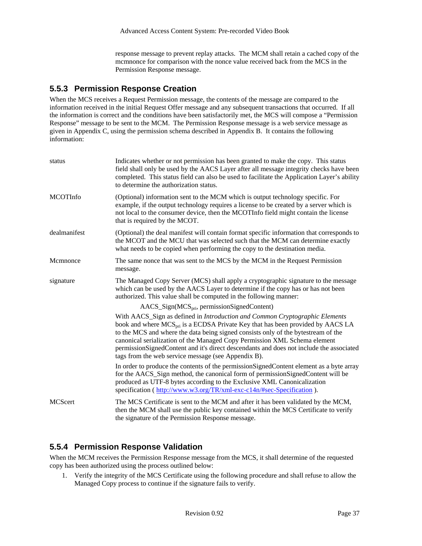response message to prevent replay attacks. The MCM shall retain a cached copy of the mcmnonce for comparison with the nonce value received back from the MCS in the Permission Response message.

#### **5.5.3 Permission Response Creation**

When the MCS receives a Request Permission message, the contents of the message are compared to the information received in the initial Request Offer message and any subsequent transactions that occurred. If all the information is correct and the conditions have been satisfactorily met, the MCS will compose a "Permission Response" message to be sent to the MCM. The Permission Response message is a web service message as given in Appendix C, using the permission schema described in Appendix B. It contains the following information:

| status          | Indicates whether or not permission has been granted to make the copy. This status<br>field shall only be used by the AACS Layer after all message integrity checks have been<br>completed. This status field can also be used to facilitate the Application Layer's ability<br>to determine the authorization status.                                                                                                                                                                        |
|-----------------|-----------------------------------------------------------------------------------------------------------------------------------------------------------------------------------------------------------------------------------------------------------------------------------------------------------------------------------------------------------------------------------------------------------------------------------------------------------------------------------------------|
| <b>MCOTInfo</b> | (Optional) information sent to the MCM which is output technology specific. For<br>example, if the output technology requires a license to be created by a server which is<br>not local to the consumer device, then the MCOTInfo field might contain the license<br>that is required by the MCOT.                                                                                                                                                                                            |
| dealmanifest    | (Optional) the deal manifest will contain format specific information that corresponds to<br>the MCOT and the MCU that was selected such that the MCM can determine exactly<br>what needs to be copied when performing the copy to the destination media.                                                                                                                                                                                                                                     |
| Mcmnonce        | The same nonce that was sent to the MCS by the MCM in the Request Permission<br>message.                                                                                                                                                                                                                                                                                                                                                                                                      |
| signature       | The Managed Copy Server (MCS) shall apply a cryptographic signature to the message<br>which can be used by the AACS Layer to determine if the copy has or has not been<br>authorized. This value shall be computed in the following manner:                                                                                                                                                                                                                                                   |
|                 | AACS_Sign(MCS <sub>pri</sub> , permissionSignedContent)                                                                                                                                                                                                                                                                                                                                                                                                                                       |
|                 | With AACS_Sign as defined in Introduction and Common Cryptographic Elements<br>book and where MCS <sub>pri</sub> is a ECDSA Private Key that has been provided by AACS LA<br>to the MCS and where the data being signed consists only of the bytestream of the<br>canonical serialization of the Managed Copy Permission XML Schema element<br>permissionSignedContent and it's direct descendants and does not include the associated<br>tags from the web service message (see Appendix B). |
|                 | In order to produce the contents of the permission Signed Content element as a byte array<br>for the AACS_Sign method, the canonical form of permissionSignedContent will be<br>produced as UTF-8 bytes according to the Exclusive XML Canonicalization<br>specification (http://www.w3.org/TR/xml-exc-c14n/#sec-Specification).                                                                                                                                                              |
| <b>MCScert</b>  | The MCS Certificate is sent to the MCM and after it has been validated by the MCM,<br>then the MCM shall use the public key contained within the MCS Certificate to verify<br>the signature of the Permission Response message.                                                                                                                                                                                                                                                               |

### **5.5.4 Permission Response Validation**

When the MCM receives the Permission Response message from the MCS, it shall determine of the requested copy has been authorized using the process outlined below:

1. Verify the integrity of the MCS Certificate using the following procedure and shall refuse to allow the Managed Copy process to continue if the signature fails to verify.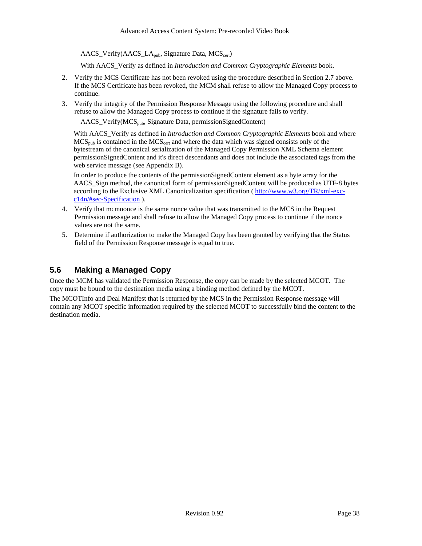AACS\_Verify(AACS\_LA<sub>pub</sub>, Signature Data, MCS<sub>cert</sub>)

With AACS\_Verify as defined in *Introduction and Common Cryptographic Elements* book.

- 2. Verify the MCS Certificate has not been revoked using the procedure described in Section 2.7 above. If the MCS Certificate has been revoked, the MCM shall refuse to allow the Managed Copy process to continue.
- 3. Verify the integrity of the Permission Response Message using the following procedure and shall refuse to allow the Managed Copy process to continue if the signature fails to verify.

 $AACS$  Verify( $MCS<sub>pub</sub>$ , Signature Data, permissionSignedContent)

With AACS\_Verify as defined in *Introduction and Common Cryptographic Elements* book and where  $MCS<sub>pub</sub>$  is contained in the  $MCS<sub>cert</sub>$  and where the data which was signed consists only of the bytestream of the canonical serialization of the Managed Copy Permission XML Schema element permissionSignedContent and it's direct descendants and does not include the associated tags from the web service message (see Appendix B).

In order to produce the contents of the permissionSignedContent element as a byte array for the AACS\_Sign method, the canonical form of permissionSignedContent will be produced as UTF-8 bytes according to the Exclusive XML Canonicalization specification ( http://www.w3.org/TR/xml-excc14n/#sec-Specification ).

- 4. Verify that mcmnonce is the same nonce value that was transmitted to the MCS in the Request Permission message and shall refuse to allow the Managed Copy process to continue if the nonce values are not the same.
- 5. Determine if authorization to make the Managed Copy has been granted by verifying that the Status field of the Permission Response message is equal to true.

## **5.6 Making a Managed Copy**

Once the MCM has validated the Permission Response, the copy can be made by the selected MCOT. The copy must be bound to the destination media using a binding method defined by the MCOT.

The MCOTInfo and Deal Manifest that is returned by the MCS in the Permission Response message will contain any MCOT specific information required by the selected MCOT to successfully bind the content to the destination media.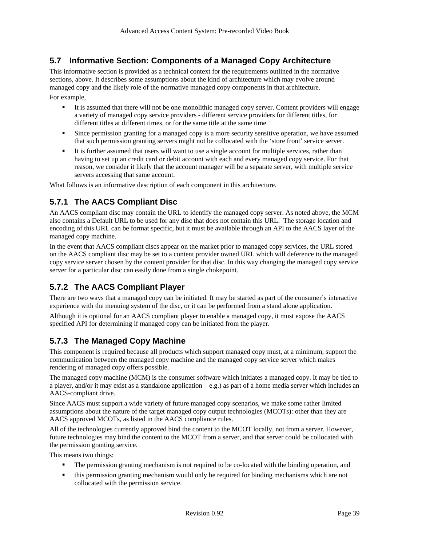## **5.7 Informative Section: Components of a Managed Copy Architecture**

This informative section is provided as a technical context for the requirements outlined in the normative sections, above. It describes some assumptions about the kind of architecture which may evolve around managed copy and the likely role of the normative managed copy components in that architecture.

For example,

- It is assumed that there will not be one monolithic managed copy server. Content providers will engage a variety of managed copy service providers - different service providers for different titles, for different titles at different times, or for the same title at the same time.
- Since permission granting for a managed copy is a more security sensitive operation, we have assumed that such permission granting servers might not be collocated with the 'store front' service server.
- It is further assumed that users will want to use a single account for multiple services, rather than having to set up an credit card or debit account with each and every managed copy service. For that reason, we consider it likely that the account manager will be a separate server, with multiple service servers accessing that same account.

What follows is an informative description of each component in this architecture.

## **5.7.1 The AACS Compliant Disc**

An AACS compliant disc may contain the URL to identify the managed copy server. As noted above, the MCM also contains a Default URL to be used for any disc that does not contain this URL. The storage location and encoding of this URL can be format specific, but it must be available through an API to the AACS layer of the managed copy machine.

In the event that AACS compliant discs appear on the market prior to managed copy services, the URL stored on the AACS compliant disc may be set to a content provider owned URL which will deference to the managed copy service server chosen by the content provider for that disc. In this way changing the managed copy service server for a particular disc can easily done from a single chokepoint.

## **5.7.2 The AACS Compliant Player**

There are two ways that a managed copy can be initiated. It may be started as part of the consumer's interactive experience with the menuing system of the disc, or it can be performed from a stand alone application.

Although it is optional for an AACS compliant player to enable a managed copy, it must expose the AACS specified API for determining if managed copy can be initiated from the player.

### **5.7.3 The Managed Copy Machine**

This component is required because all products which support managed copy must, at a minimum, support the communication between the managed copy machine and the managed copy service server which makes rendering of managed copy offers possible.

The managed copy machine (MCM) is the consumer software which initiates a managed copy. It may be tied to a player, and/or it may exist as a standalone application  $-e.g.$ ) as part of a home media server which includes an AACS-compliant drive.

Since AACS must support a wide variety of future managed copy scenarios, we make some rather limited assumptions about the nature of the target managed copy output technologies (MCOTs): other than they are AACS approved MCOTs, as listed in the AACS compliance rules.

All of the technologies currently approved bind the content to the MCOT locally, not from a server. However, future technologies may bind the content to the MCOT from a server, and that server could be collocated with the permission granting service.

This means two things:

- **The permission granting mechanism is not required to be co-located with the binding operation, and**
- this permission granting mechanism would only be required for binding mechanisms which are not collocated with the permission service.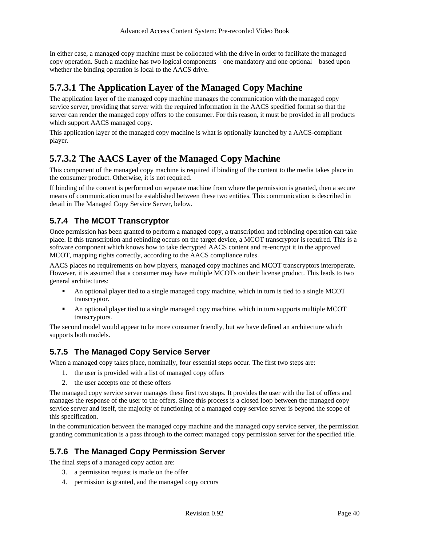In either case, a managed copy machine must be collocated with the drive in order to facilitate the managed copy operation. Such a machine has two logical components – one mandatory and one optional – based upon whether the binding operation is local to the AACS drive.

## **5.7.3.1 The Application Layer of the Managed Copy Machine**

The application layer of the managed copy machine manages the communication with the managed copy service server, providing that server with the required information in the AACS specified format so that the server can render the managed copy offers to the consumer. For this reason, it must be provided in all products which support AACS managed copy.

This application layer of the managed copy machine is what is optionally launched by a AACS-compliant player.

## **5.7.3.2 The AACS Layer of the Managed Copy Machine**

This component of the managed copy machine is required if binding of the content to the media takes place in the consumer product. Otherwise, it is not required.

If binding of the content is performed on separate machine from where the permission is granted, then a secure means of communication must be established between these two entities. This communication is described in detail in The Managed Copy Service Server, below.

## **5.7.4 The MCOT Transcryptor**

Once permission has been granted to perform a managed copy, a transcription and rebinding operation can take place. If this transcription and rebinding occurs on the target device, a MCOT transcryptor is required. This is a software component which knows how to take decrypted AACS content and re-encrypt it in the approved MCOT, mapping rights correctly, according to the AACS compliance rules.

AACS places no requirements on how players, managed copy machines and MCOT transcryptors interoperate. However, it is assumed that a consumer may have multiple MCOTs on their license product. This leads to two general architectures:

- An optional player tied to a single managed copy machine, which in turn is tied to a single MCOT transcryptor.
- An optional player tied to a single managed copy machine, which in turn supports multiple MCOT transcryptors.

The second model would appear to be more consumer friendly, but we have defined an architecture which supports both models.

### **5.7.5 The Managed Copy Service Server**

When a managed copy takes place, nominally, four essential steps occur. The first two steps are:

- 1. the user is provided with a list of managed copy offers
- 2. the user accepts one of these offers

The managed copy service server manages these first two steps. It provides the user with the list of offers and manages the response of the user to the offers. Since this process is a closed loop between the managed copy service server and itself, the majority of functioning of a managed copy service server is beyond the scope of this specification.

In the communication between the managed copy machine and the managed copy service server, the permission granting communication is a pass through to the correct managed copy permission server for the specified title.

## **5.7.6 The Managed Copy Permission Server**

The final steps of a managed copy action are:

- 3. a permission request is made on the offer
- 4. permission is granted, and the managed copy occurs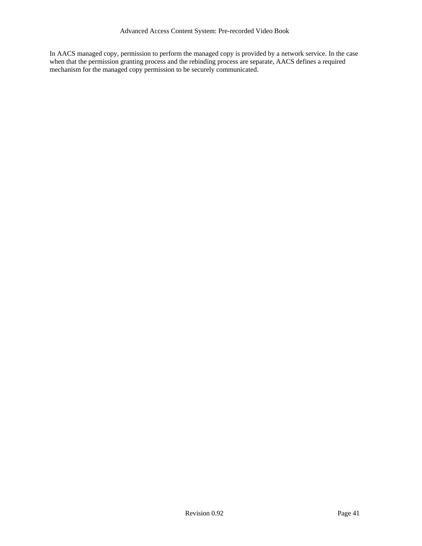In AACS managed copy, permission to perform the managed copy is provided by a network service. In the case when that the permission granting process and the rebinding process are separate, AACS defines a required mechanism for the managed copy permission to be securely communicated.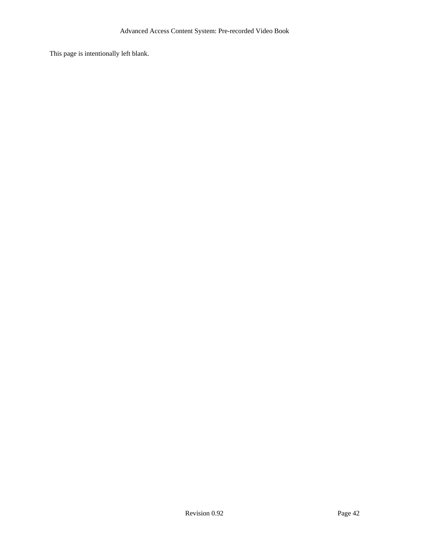This page is intentionally left blank.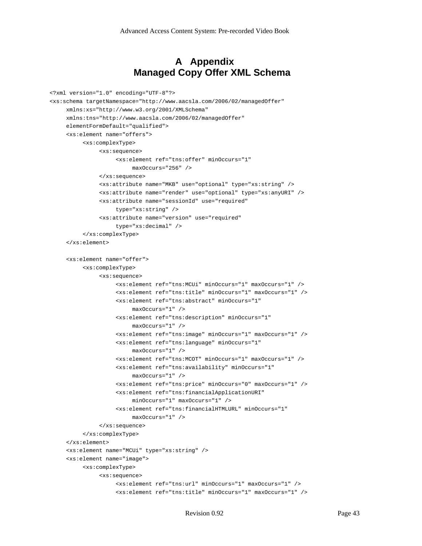## **A Appendix Managed Copy Offer XML Schema**

```
<?xml version="1.0" encoding="UTF-8"?> 
<xs:schema targetNamespace="http://www.aacsla.com/2006/02/managedOffer" 
      xmlns:xs="http://www.w3.org/2001/XMLSchema" 
      xmlns:tns="http://www.aacsla.com/2006/02/managedOffer" 
      elementFormDefault="qualified"> 
      <xs:element name="offers"> 
           <xs:complexType> 
                <xs:sequence> 
                      <xs:element ref="tns:offer" minOccurs="1" 
                           maxOccurs="256" /> 
                </xs:sequence> 
                <xs:attribute name="MKB" use="optional" type="xs:string" /> 
                 <xs:attribute name="render" use="optional" type="xs:anyURI" /> 
                 <xs:attribute name="sessionId" use="required" 
                      type="xs:string" /> 
                 <xs:attribute name="version" use="required" 
                      type="xs:decimal" /> 
           </xs:complexType> 
      </xs:element> 
      <xs:element name="offer"> 
           <xs:complexType> 
                 <xs:sequence> 
                      <xs:element ref="tns:MCUi" minOccurs="1" maxOccurs="1" /> 
                      <xs:element ref="tns:title" minOccurs="1" maxOccurs="1" /> 
                      <xs:element ref="tns:abstract" minOccurs="1" 
                           maxOccurs="1" /> 
                      <xs:element ref="tns:description" minOccurs="1" 
                           maxOccurs="1" /> 
                      <xs:element ref="tns:image" minOccurs="1" maxOccurs="1" /> 
                      <xs:element ref="tns:language" minOccurs="1" 
                           maxOccurs="1" /> 
                      <xs:element ref="tns:MCOT" minOccurs="1" maxOccurs="1" /> 
                      <xs:element ref="tns:availability" minOccurs="1" 
                           maxOccurs="1" /> 
                      <xs:element ref="tns:price" minOccurs="0" maxOccurs="1" /> 
                      <xs:element ref="tns:financialApplicationURI" 
                           minOccurs="1" maxOccurs="1" /> 
                      <xs:element ref="tns:financialHTMLURL" minOccurs="1" 
                           maxOccurs="1" /> 
                 </xs:sequence> 
           </xs:complexType> 
      </xs:element> 
      <xs:element name="MCUi" type="xs:string" /> 
      <xs:element name="image"> 
           <xs:complexType> 
                <xs:sequence> 
                      <xs:element ref="tns:url" minOccurs="1" maxOccurs="1" /> 
                      <xs:element ref="tns:title" minOccurs="1" maxOccurs="1" />
```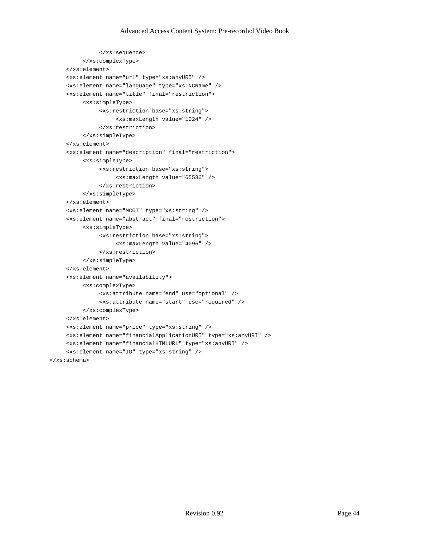```
 </xs:sequence> 
           </xs:complexType> 
      </xs:element> 
      <xs:element name="url" type="xs:anyURI" /> 
      <xs:element name="language" type="xs:NCName" /> 
      <xs:element name="title" final="restriction"> 
           <xs:simpleType> 
                <xs:restriction base="xs:string"> 
                      <xs:maxLength value="1024" /> 
                </xs:restriction> 
           </xs:simpleType> 
      </xs:element> 
      <xs:element name="description" final="restriction"> 
           <xs:simpleType> 
                <xs:restriction base="xs:string"> 
                      <xs:maxLength value="65536" /> 
                </xs:restriction> 
           </xs:simpleType> 
      </xs:element> 
      <xs:element name="MCOT" type="xs:string" /> 
      <xs:element name="abstract" final="restriction"> 
           <xs:simpleType> 
                <xs:restriction base="xs:string"> 
                      <xs:maxLength value="4096" /> 
                </xs:restriction> 
           </xs:simpleType> 
      </xs:element> 
      <xs:element name="availability"> 
           <xs:complexType> 
                <xs:attribute name="end" use="optional" /> 
                <xs:attribute name="start" use="required" /> 
           </xs:complexType> 
      </xs:element> 
      <xs:element name="price" type="xs:string" /> 
      <xs:element name="financialApplicationURI" type="xs:anyURI" /> 
      <xs:element name="financialHTMLURL" type="xs:anyURI" /> 
      <xs:element name="ID" type="xs:string" /> 
</xs:schema>
```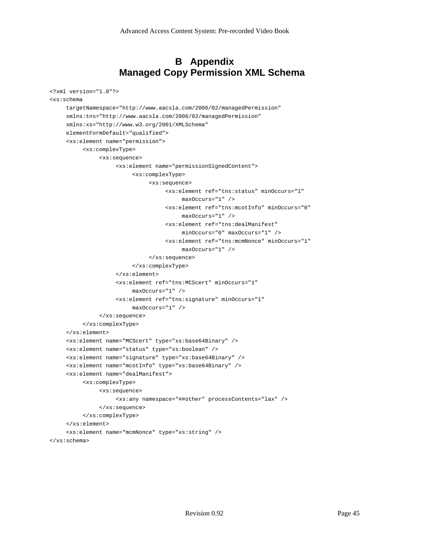## **B Appendix Managed Copy Permission XML Schema**

```
<?xml version="1.0"?> 
<xs:schema 
      targetNamespace="http://www.aacsla.com/2006/02/managedPermission" 
      xmlns:tns="http://www.aacsla.com/2006/02/managedPermission" 
      xmlns:xs="http://www.w3.org/2001/XMLSchema" 
      elementFormDefault="qualified"> 
      <xs:element name="permission"> 
           <xs:complexType> 
                 <xs:sequence> 
                      <xs:element name="permissionSignedContent"> 
                            <xs:complexType> 
                                 <xs:sequence> 
                                      <xs:element ref="tns:status" minOccurs="1" 
                                            maxOccurs="1" /> 
                                      <xs:element ref="tns:mcotInfo" minOccurs="0" 
                                            maxOccurs="1" /> 
                                      <xs:element ref="tns:dealManifest" 
                                            minOccurs="0" maxOccurs="1" /> 
                                      <xs:element ref="tns:mcmNonce" minOccurs="1" 
                                           maxOccurs="1" /> 
                                 </xs:sequence> 
                            </xs:complexType> 
                      </xs:element> 
                      <xs:element ref="tns:MCScert" minOccurs="1" 
                            maxOccurs="1" /> 
                      <xs:element ref="tns:signature" minOccurs="1" 
                           maxOccurs="1" /> 
                 </xs:sequence> 
           </xs:complexType> 
      </xs:element> 
      <xs:element name="MCScert" type="xs:base64Binary" /> 
      <xs:element name="status" type="xs:boolean" /> 
      <xs:element name="signature" type="xs:base64Binary" /> 
      <xs:element name="mcotInfo" type="xs:base64Binary" /> 
      <xs:element name="dealManifest"> 
           <xs:complexType> 
                 <xs:sequence> 
                      <xs:any namespace="##other" processContents="lax" /> 
                 </xs:sequence> 
           </xs:complexType> 
      </xs:element> 
      <xs:element name="mcmNonce" type="xs:string" /> 
</xs:schema>
```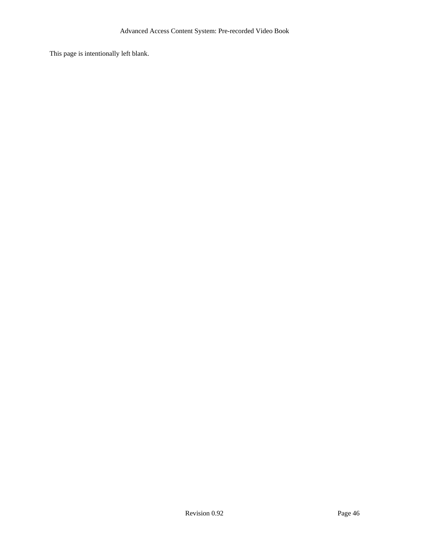This page is intentionally left blank.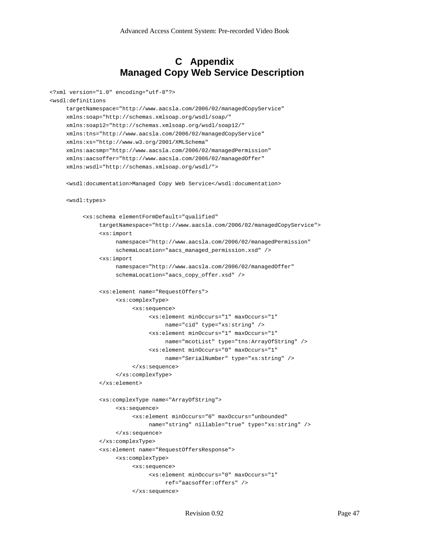## **C Appendix Managed Copy Web Service Description**

```
<?xml version="1.0" encoding="utf-8"?> 
<wsdl:definitions 
      targetNamespace="http://www.aacsla.com/2006/02/managedCopyService" 
      xmlns:soap="http://schemas.xmlsoap.org/wsdl/soap/" 
      xmlns:soap12="http://schemas.xmlsoap.org/wsdl/soap12/" 
      xmlns:tns="http://www.aacsla.com/2006/02/managedCopyService" 
      xmlns:xs="http://www.w3.org/2001/XMLSchema" 
      xmlns:aacsmp="http://www.aacsla.com/2006/02/managedPermission" 
      xmlns:aacsoffer="http://www.aacsla.com/2006/02/managedOffer" 
      xmlns:wsdl="http://schemas.xmlsoap.org/wsdl/"> 
      <wsdl:documentation>Managed Copy Web Service</wsdl:documentation> 
      <wsdl:types> 
           <xs:schema elementFormDefault="qualified" 
                 targetNamespace="http://www.aacsla.com/2006/02/managedCopyService"> 
                <xs:import 
                      namespace="http://www.aacsla.com/2006/02/managedPermission" 
                      schemaLocation="aacs_managed_permission.xsd" /> 
                 <xs:import 
                      namespace="http://www.aacsla.com/2006/02/managedOffer" 
                      schemaLocation="aacs_copy_offer.xsd" /> 
                 <xs:element name="RequestOffers"> 
                      <xs:complexType> 
                           <xs:sequence> 
                                 <xs:element minOccurs="1" maxOccurs="1" 
                                      name="cid" type="xs:string" /> 
                                 <xs:element minOccurs="1" maxOccurs="1" 
                                      name="mcotList" type="tns:ArrayOfString" /> 
                                 <xs:element minOccurs="0" maxOccurs="1" 
                                      name="SerialNumber" type="xs:string" /> 
                           </xs:sequence> 
                      </xs:complexType> 
                 </xs:element> 
                 <xs:complexType name="ArrayOfString"> 
                      <xs:sequence> 
                           <xs:element minOccurs="0" maxOccurs="unbounded" 
                                name="string" nillable="true" type="xs:string" /> 
                      </xs:sequence> 
                </xs:complexType> 
                 <xs:element name="RequestOffersResponse"> 
                      <xs:complexType> 
                           <xs:sequence> 
                                 <xs:element minOccurs="0" maxOccurs="1" 
                                      ref="aacsoffer:offers" /> 
                           </xs:sequence>
```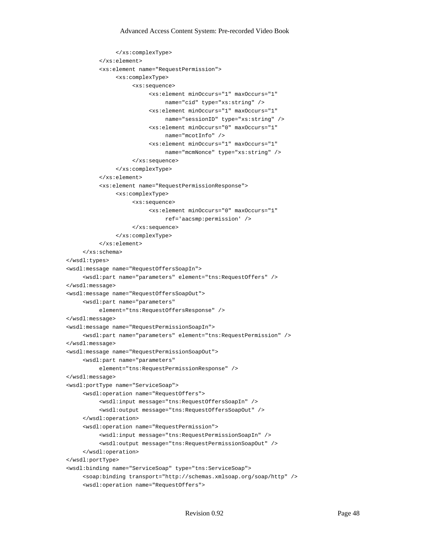#### Advanced Access Content System: Pre-recorded Video Book

```
 </xs:complexType> 
           </xs:element> 
           <xs:element name="RequestPermission"> 
                 <xs:complexType> 
                      <xs:sequence> 
                            <xs:element minOccurs="1" maxOccurs="1" 
                                 name="cid" type="xs:string" /> 
                            <xs:element minOccurs="1" maxOccurs="1" 
                                 name="sessionID" type="xs:string" /> 
                            <xs:element minOccurs="0" maxOccurs="1" 
                                 name="mcotInfo" /> 
                            <xs:element minOccurs="1" maxOccurs="1" 
                                 name="mcmNonce" type="xs:string" /> 
                      </xs:sequence> 
                 </xs:complexType> 
           </xs:element> 
           <xs:element name="RequestPermissionResponse"> 
                 <xs:complexType> 
                      <xs:sequence> 
                            <xs:element minOccurs="0" maxOccurs="1" 
                                 ref='aacsmp:permission' /> 
                      </xs:sequence> 
                 </xs:complexType> 
           </xs:element> 
      </xs:schema> 
 </wsdl:types> 
 <wsdl:message name="RequestOffersSoapIn"> 
      <wsdl:part name="parameters" element="tns:RequestOffers" /> 
 </wsdl:message> 
 <wsdl:message name="RequestOffersSoapOut"> 
      <wsdl:part name="parameters" 
           element="tns:RequestOffersResponse" /> 
 </wsdl:message> 
 <wsdl:message name="RequestPermissionSoapIn"> 
      <wsdl:part name="parameters" element="tns:RequestPermission" /> 
 </wsdl:message> 
 <wsdl:message name="RequestPermissionSoapOut"> 
      <wsdl:part name="parameters" 
           element="tns:RequestPermissionResponse" /> 
 </wsdl:message> 
 <wsdl:portType name="ServiceSoap"> 
      <wsdl:operation name="RequestOffers"> 
           <wsdl:input message="tns:RequestOffersSoapIn" /> 
           <wsdl:output message="tns:RequestOffersSoapOut" /> 
      </wsdl:operation> 
      <wsdl:operation name="RequestPermission"> 
           <wsdl:input message="tns:RequestPermissionSoapIn" /> 
           <wsdl:output message="tns:RequestPermissionSoapOut" /> 
      </wsdl:operation> 
 </wsdl:portType> 
 <wsdl:binding name="ServiceSoap" type="tns:ServiceSoap"> 
      <soap:binding transport="http://schemas.xmlsoap.org/soap/http" /> 
      <wsdl:operation name="RequestOffers">
```